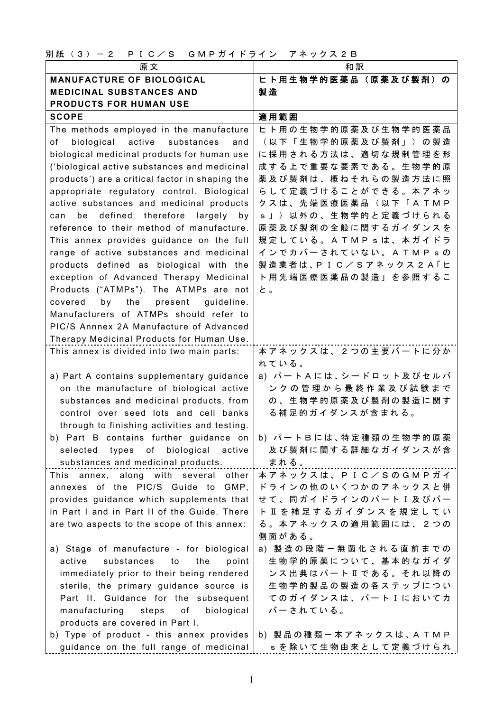別紙 (3) - 2 P I C / S G M P ガイドライン アネックス 2 B

| 原文                                                            | 和訳                                    |
|---------------------------------------------------------------|---------------------------------------|
| <b>MANUFACTURE OF BIOLOGICAL</b>                              | ヒト用生物学的医薬品(原薬及び製剤)の                   |
| <b>MEDICINAL SUBSTANCES AND</b>                               | 製造                                    |
| <b>PRODUCTS FOR HUMAN USE</b>                                 |                                       |
| <b>SCOPE</b>                                                  | 適用範囲                                  |
| The methods employed in the manufacture                       | ヒト用の生物学的原薬及び生物学的医薬品                   |
| of<br>biological<br>active substances<br>and                  | (以下「生物学的原薬及び製剤」)の製造                   |
| biological medicinal products for human use                   | に採用される方法は、適切な規制管理を形                   |
| ('biological active substances and medicinal                  | 成する上で重要な要素である。生物学的原                   |
| products') are a critical factor in shaping the               | 薬及び製剤は、概ねそれらの製造方法に照                   |
| appropriate regulatory control. Biological                    | らして定義づけることができる。本アネッ                   |
| active substances and medicinal products                      | クスは、先端医療医薬品(以下「ATMP                   |
| defined therefore<br>largely<br>can<br>be<br>by               | s」)以外の、生物学的と定義づけられる                   |
| reference to their method of manufacture.                     | 原薬及び製剤の全般に関するガイダンスを                   |
| This annex provides guidance on the full                      | 規定している。ATMPsは、本ガイドラ                   |
| range of active substances and medicinal                      | インでカバーされていない。ATMPsの                   |
| products defined as biological with the                       | 製造業者は、PIC/Sアネックス2A「ヒ                  |
| exception of Advanced Therapy Medicinal                       | ト用先端医療医薬品の製造」を参照するこ                   |
| Products ("ATMPs"). The ATMPs are not                         | と。                                    |
| the<br>by<br>present<br>guideline.<br>covered                 |                                       |
| Manufacturers of ATMPs should refer to                        |                                       |
| PIC/S Annnex 2A Manufacture of Advanced                       |                                       |
| Therapy Medicinal Products for Human Use.                     |                                       |
| This annex is divided into two main parts:                    | 本アネックスは、2つの主要パートに分か                   |
|                                                               | れている。                                 |
| a) Part A contains supplementary guidance                     | a) パートAには、シードロット及びセルバ                 |
| on the manufacture of biological active                       | ンクの管理から最終作業及び試験まで                     |
| substances and medicinal products, from                       | の、生物学的原薬及び製剤の製造に関す                    |
| control over seed lots and cell banks                         | る補足的ガイダンスが含まれる。                       |
| through to finishing activities and testing.                  |                                       |
| b) Part B contains further guidance on  b) パートBには、特定種類の生物学的原薬 |                                       |
| selected types of biological active                           | 及び製剤に関する詳細なガイダンスが含                    |
| substances and medicinal products.                            | まれる。                                  |
| This annex, along with several other                          | 本アネックスは、PIC/SのGMPガイ                   |
| annexes of the PIC/S Guide to GMP,                            | ドラインの他のいくつかのアネックスと併                   |
| provides guidance which supplements that                      | せ て 、 同 ガ イ ド ラ イ ン の パ 一 ト I 及 び パ 一 |
| in Part I and in Part II of the Guide. There                  | ト Ⅱ を 補 足 す る ガ イ ダ ン ス を 規 定 し て い   |
| are two aspects to the scope of this annex:                   | る。本アネックスの適用範囲には、2つの                   |
|                                                               | 側面がある。                                |
| a) Stage of manufacture - for biological                      | a) 製造の段階 一無菌化される直前までの                 |
| active<br>substances<br>the<br>to<br>point                    | 生物学的原薬について、基本的なガイダ                    |
| immediately prior to their being rendered                     | ンス出典はパートⅡである。それ以降の                    |
| sterile, the primary guidance source is                       | 生物学的製品の製造の各ステップについ                    |
| Part II. Guidance for the subsequent                          | てのガイダンスは、パートIにおいてカ                    |
| manufacturing<br>biological<br>steps<br>of                    | バーされている。                              |
| products are covered in Part I.                               |                                       |
| b) Type of product - this annex provides                      | b) 製品の種類一本アネックスは、ATMP                 |
| guidance on the full range of medicinal                       | s を除いて生物由来として定義づけられ                   |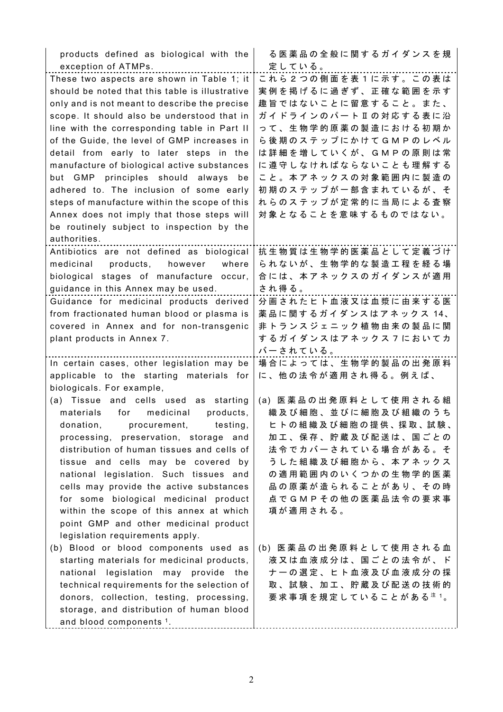| products defined as biological with the         | る医薬品の全般に関するガイダンスを規                               |
|-------------------------------------------------|--------------------------------------------------|
| exception of ATMPs.                             | 定している。                                           |
| These two aspects are shown in Table 1; it      | これら2つの側面を表1に示す。この表は                              |
| should be noted that this table is illustrative | 実例を掲げるに過ぎず、正確な範囲を示す                              |
| only and is not meant to describe the precise   | 趣旨ではないことに留意すること。また、                              |
| scope. It should also be understood that in     | ガイドラインのパートⅡの対応する表に沿                              |
| line with the corresponding table in Part II    | って、生物学的原薬の製造における初期か                              |
| of the Guide, the level of GMP increases in     | ら 後 期 の ス テ ッ プ に か け て G M P の レ ベ ル            |
| detail from early to later steps in the         | は詳細を増していくが、GMPの原則は常                              |
| manufacture of biological active substances     | に遵守しなければならないことも理解する                              |
| but GMP principles should always<br>be          | こと。本アネックスの対象範囲内に製造の                              |
| adhered to. The inclusion of some early         | 初期のステップが一部含まれているが、そ                              |
| steps of manufacture within the scope of this   | れらのステップが定常的に当局による査察                              |
| Annex does not imply that those steps will      | 対象となることを意味するものではない。                              |
| be routinely subject to inspection by the       |                                                  |
| authorities.                                    |                                                  |
| Antibiotics are not defined as biological       | 抗生物質は生物学的医薬品として定義づけ                              |
| products,<br>where<br>medicinal<br>however      | られないが、生物学的な製造工程を経る場                              |
| biological stages of manufacture occur,         | 合には、本アネックスのガイダンスが適用                              |
| guidance in this Annex may be used.             | され得る。                                            |
| Guidance for medicinal products derived         | 分画されたヒト血液又は血漿に由来する医                              |
| from fractionated human blood or plasma is      | 薬品に関するガイダンスはアネックス 14、                            |
| covered in Annex and for non-transgenic         | 非トランスジェニック植物由来の製品に関                              |
| plant products in Annex 7.                      | するガイダンスはアネックスフにおいてカ                              |
|                                                 | バーされている。                                         |
| In certain cases, other legislation may be      | 場合によっては、生物学的製品の出発原料                              |
| applicable to the starting materials for        | に、他の法令が適用され得る。例えば、                               |
| biologicals. For example,                       |                                                  |
| (a) Tissue and cells used as starting           | (a) 医薬品の出発原料として使用される組                            |
| materials<br>medicinal<br>products,<br>for      | 織及び細胞、並びに細胞及び組織のうち                               |
| donation, procurement, testing,                 | ヒトの組織及び細胞の提供、採取、試験、                              |
| processing, preservation, storage and           | 加 工 、 保 存 、 貯 蔵 及 び 配 送 は 、 国 ご と の              |
| distribution of human tissues and cells of      | 法令でカバーされている場合がある。そ                               |
| tissue and cells may be covered by              | うした組織及び細胞から、本アネックス                               |
| national legislation. Such tissues and          | の適用範囲内のいくつかの生物学的医薬                               |
| cells may provide the active substances         | 品の原薬が造られることがあり、その時                               |
| for some biological medicinal product           | 点で G M P そ の 他 の 医 薬 品 法 令 の 要 求 事               |
| within the scope of this annex at which         | 項が適用される。                                         |
| point GMP and other medicinal product           |                                                  |
| legislation requirements apply.                 |                                                  |
| (b) Blood or blood components used as           | (b) 医薬品の出発原料として使用される血                            |
| starting materials for medicinal products,      | 液又は血液成分は、国ごとの法令が、ド                               |
| national legislation may provide the            | ナーの選定、ヒト血液及び血液成分の採                               |
| technical requirements for the selection of     | 取、試験、加工、貯蔵及び配送の技術的                               |
| donors, collection, testing, processing,        | 要 求 事 項 を 規 定 し て い る こ と が あ る <sup>注 1</sup> 。 |
| storage, and distribution of human blood        |                                                  |
| and blood components <sup>1</sup> .             |                                                  |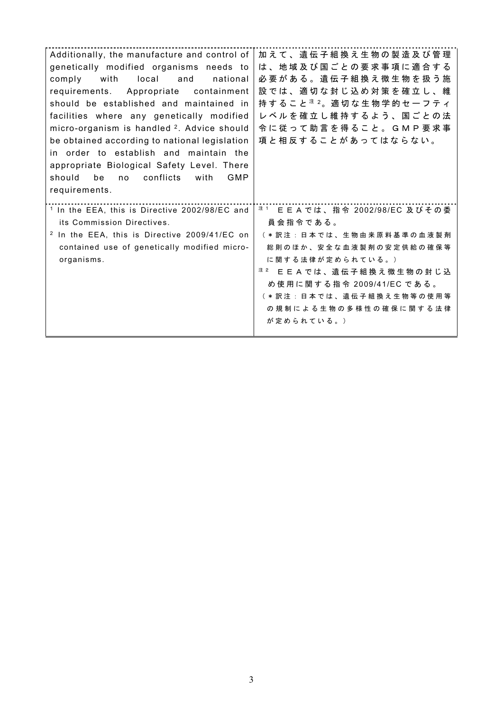| Additionally, the manufacture and control of<br>genetically modified organisms needs to<br>national<br>with<br>local<br>and<br>comply<br>requirements. Appropriate<br>containment<br>should be established and maintained in<br>facilities where any genetically modified<br>micro-organism is handled <sup>2</sup> . Advice should<br>be obtained according to national legislation<br>in order to establish and maintain the<br>appropriate Biological Safety Level. There<br>conflicts<br>be<br>GMP<br>should<br>with<br>no<br>requirements. | 加 え て 、 遺 伝 子 組 換 え 生 物 の 製 造 及 び 管 理<br>は、地域及び国ごとの要求事項に適合する<br>必要がある。遺伝子組換え微生物を扱う施<br>設では、適切な封じ込め対策を確立し、維<br>持 す る こ と <sup>注 2</sup> 。適 切 な 生 物 学 的 セ ー フ テ ィ<br>レベルを確立し維持するよう、国ごとの法<br>令に 従 っ て 助 言 を 得 る こ と 。 G M P 要 求 事<br>項と相反することがあってはならない。                                              |
|-------------------------------------------------------------------------------------------------------------------------------------------------------------------------------------------------------------------------------------------------------------------------------------------------------------------------------------------------------------------------------------------------------------------------------------------------------------------------------------------------------------------------------------------------|---------------------------------------------------------------------------------------------------------------------------------------------------------------------------------------------------------------------------------------------------------------------------------------------------|
| <sup>1</sup> In the EEA, this is Directive 2002/98/EC and<br>its Commission Directives.<br><sup>2</sup> In the EEA, this is Directive 2009/41/EC on<br>contained use of genetically modified micro-<br>organisms.                                                                                                                                                                                                                                                                                                                               | <sup>注1</sup> E E A では、指令 2002/98/EC 及びその委<br>員 会 指 令 で あ る 。<br>( * 訳注 : 日本では、生物由来原料基準の血液製剤<br>総則のほか、安全な血液製剤の安定供給の確保等<br>に関する法律が定められている。)<br><sup>注 2</sup> E E A では、遺伝子組換え微生物の封じ込<br>め 使 用 に 関 す る 指 令 2009/41/EC で あ る 。<br>( * 訳注 : 日本では、遺伝子組換え生物等の使用等<br>の規制による生物の多様性の確保に関する法律<br>が定められている。) |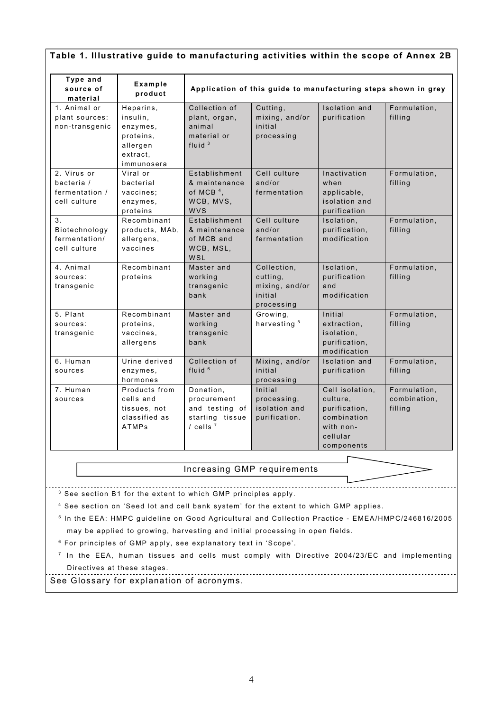| Type and<br>source of<br>material                           | Example<br>product                                                                   | Application of this guide to manufacturing steps shown in grey                                                                                                                                                                                                                                                                                                                |                                                                    |                                                                                                    |                                         |
|-------------------------------------------------------------|--------------------------------------------------------------------------------------|-------------------------------------------------------------------------------------------------------------------------------------------------------------------------------------------------------------------------------------------------------------------------------------------------------------------------------------------------------------------------------|--------------------------------------------------------------------|----------------------------------------------------------------------------------------------------|-----------------------------------------|
| 1. Animal or<br>plant sources:<br>non-transgenic            | Heparins,<br>insulin,<br>enzymes,<br>proteins,<br>allergen<br>extract,<br>immunosera | Collection of<br>plant, organ,<br>animal<br>material or<br>fluid $3$                                                                                                                                                                                                                                                                                                          | Cutting,<br>mixing, and/or<br>initial<br>processing                | <b>Isolation</b> and<br>purification                                                               | Formulation,<br>filling                 |
| 2. Virus or<br>bacteria /<br>fermentation /<br>cell culture | Viral or<br>bacterial<br>vaccines;<br>enzymes,<br>proteins                           | Establishment<br>& maintenance<br>of MCB $4$ ,<br>WCB, MVS,<br><b>WVS</b>                                                                                                                                                                                                                                                                                                     | Cell culture<br>and/or<br>fermentation                             | Inactivation<br>when<br>applicable,<br>isolation and<br>purification                               | Formulation,<br>filling                 |
| 3.<br>Biotechnology<br>fermentation/<br>cell culture        | Recombinant<br>products, MAb,<br>allergens,<br>vaccines                              | Establishment<br>& maintenance<br>of MCB and<br>WCB, MSL,<br>WSL                                                                                                                                                                                                                                                                                                              | Cell culture<br>and/or<br>fermentation                             | Isolation,<br>purification,<br>modification                                                        | Formulation,<br>filling                 |
| 4. Animal<br>sources:<br>transgenic                         | Recombinant<br>proteins                                                              | Master and<br>working<br>transgenic<br>bank                                                                                                                                                                                                                                                                                                                                   | Collection,<br>cutting,<br>mixing, and/or<br>initial<br>processing | Isolation,<br>purification<br>and<br>modification                                                  | Formulation,<br>filling                 |
| 5. Plant<br>sources:<br>transgenic                          | Recombinant<br>proteins,<br>vaccines,<br>allergens                                   | Master and<br>working<br>transgenic<br>bank                                                                                                                                                                                                                                                                                                                                   | Growing,<br>harvesting <sup>5</sup>                                | Initial<br>extraction,<br>isolation,<br>purification,<br>modification                              | Formulation,<br>filling                 |
| 6. Human<br>sources                                         | Urine derived<br>enzymes,<br>hormones                                                | Collection of<br>fluid $6$                                                                                                                                                                                                                                                                                                                                                    | Mixing, and/or<br>initial<br>processing                            | Isolation and<br>purification                                                                      | Formulation,<br>filling                 |
| 7. Human<br>sources                                         | Products from<br>cells and<br>tissues, not<br>classified as<br><b>ATMPs</b>          | Donation,<br>procurement<br>and testing of<br>starting tissue<br>$/$ cells $7$                                                                                                                                                                                                                                                                                                | Initial<br>processing,<br>isolation and<br>purification.           | Cell isolation,<br>culture,<br>purification,<br>combination<br>with non-<br>cellular<br>components | Formulation,<br>combination,<br>filling |
|                                                             |                                                                                      |                                                                                                                                                                                                                                                                                                                                                                               |                                                                    |                                                                                                    |                                         |
|                                                             |                                                                                      | Increasing GMP requirements                                                                                                                                                                                                                                                                                                                                                   |                                                                    |                                                                                                    |                                         |
|                                                             |                                                                                      | <sup>3</sup> See section B1 for the extent to which GMP principles apply.<br><sup>4</sup> See section on 'Seed lot and cell bank system' for the extent to which GMP applies.<br><sup>5</sup> In the EEA: HMPC guideline on Good Agricultural and Collection Practice - EMEA/HMPC/246816/2005<br>may be applied to growing, harvesting and initial processing in open fields. |                                                                    |                                                                                                    |                                         |

 $6$  For principles of GMP apply, see explanatory text in 'Scope'.

 $^7$  In the EEA, human tissues and cells must comply with Directive 2004/23/EC and implementing Direc tives at these s tages .

See Glossary for explanation of acronyms.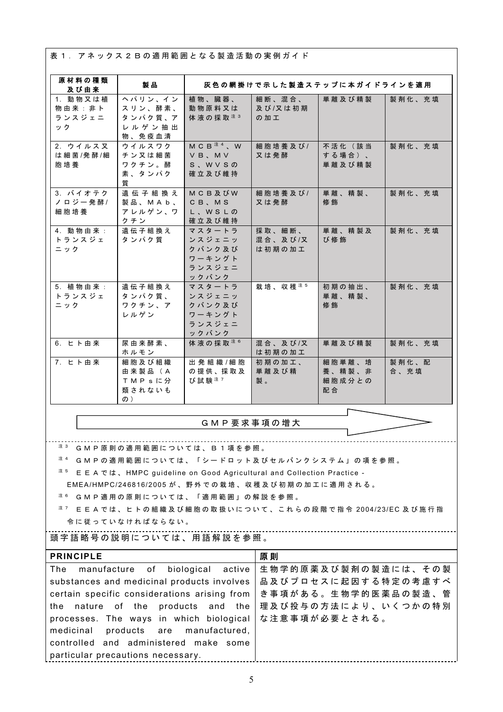表 1. アネックス 2 B の適用範囲となる製造活動の実例ガイド

| 原材料の種類                                                                                                                                                                                                               | 製品                                                       |                                                         | 灰色の網掛けで示した製造ステップに本ガイドラインを適用 |                                  |               |
|----------------------------------------------------------------------------------------------------------------------------------------------------------------------------------------------------------------------|----------------------------------------------------------|---------------------------------------------------------|-----------------------------|----------------------------------|---------------|
| 及び由来<br>1. 動物又は植<br>物由来:非卜<br>ランスジェニ<br>ック                                                                                                                                                                           | ヘパリン、イン<br>スリン、酵素、<br>タンパク質、ア<br>レルゲン抽出<br>物、免疫血清        | 植物、臓器、<br>動物原料又は<br>体液の採取注3                             | 細断、混合、<br>及び/又は初期<br>の加工    | 単離及び精製                           | 製剤化、充填        |
| 2. ウイルス又<br>は細菌/発酵/細<br>胞培養                                                                                                                                                                                          | ウイルスワク<br>チン又は細菌<br>ワクチン。酵<br>素、タンパク<br>質                | $M C B^{\pm 4}$ , W<br>VB, MV<br>S、WVSの<br>確立及び維持       | 細胞培養及び/<br>又は発酵             | 不活化 (該当<br>する場合)、<br>単離及び精製      | 製剤化、充填        |
| 3. バイオテク<br>ノロジー発酵/<br>細胞培養                                                                                                                                                                                          | 遺伝子組換え<br>製品、MAb、<br>アレルゲン、ワ<br>クチン                      | <b>MCB及びW</b><br>CB, MS<br>L、WSLの<br>確立及び維持             | 細胞培養及び/<br>又は発酵             | 単離、精製、<br>修飾                     | 製剤化、充填        |
| 4. 動物由来:<br>トランスジェ<br>ニック                                                                                                                                                                                            | 遺伝子組換え<br>タンパク質                                          | マスタートラ<br>ンスジェニッ<br>クバンク及び<br>ワーキングト<br>ランスジェニ<br>ックバンク | 採取、細断、<br>混合、及び/又<br>は初期の加工 | 単離、精製及<br>び修飾                    | 製剤化、充填        |
| 5. 植物由来:<br>トランスジェ<br>ニック                                                                                                                                                                                            | 遺伝子組換え<br>タンパク質、<br>ワクチン、ア<br>レルゲン                       | マスタートラ<br>ンスジェニッ<br>クバンク及び<br>ワーキングト<br>ランスジェニ<br>ックバンク | 栽培、収穫注5                     | 初期の抽出、<br>単離、精製、<br>修飾           | 製剤化、充填        |
| 6. ヒト由来                                                                                                                                                                                                              | 尿由来酵素、<br>ホルモン                                           | 体液の採取注6                                                 | 混合、及び/又<br>は初期の加工           | 単離及び精製                           | 製剤化、充填        |
| 7. ヒト由来                                                                                                                                                                                                              | 細胞及び組織<br>由来製品 (A<br>TMPsに分<br>類されないも<br>$\mathcal{D}$ ) | 出発組織/細胞<br>の提供、採取及<br>び試験注7                             | 初期の加工、<br>単離及び精<br>製。       | 細胞単離、培<br>養、精製、非<br>細胞成分との<br>配合 | 製剤化、配<br>合、充填 |
|                                                                                                                                                                                                                      | GMP要求事項の増大                                               |                                                         |                             |                                  |               |
|                                                                                                                                                                                                                      |                                                          |                                                         |                             |                                  |               |
| 注 3<br>GMP原則の適用範囲については、B1項を参照。<br>注 4<br>GMPの適用範囲については、「シードロット及びセルバンクシステム」の項を参照。<br>注 5<br>E E A では、HMPC guideline on Good Agricultural and Collection Practice -<br>EMEA/HMPC/246816/2005 が、野外での栽培、収穫及び初期の加工に適用される。 |                                                          |                                                         |                             |                                  |               |
| 注 6<br>G M P 適 用 の 原 則 に つ い て は 、 「 適 用 範 囲 」 の 解 説 を 参 照 。<br>注 7<br>E E A で は 、 ヒ ト の 組 織 及 び 細 胞 の 取 扱 い に つ い て 、 こ れ ら の 段 階 で 指 令 2004/23/EC 及 び 施 行 指                                                        |                                                          |                                                         |                             |                                  |               |

令 に 従 っ て い な け れ ば な ら な い 。

## 頭 字 語 略 号 の 説 明 に つ い て は 、 用 語 解 説 を 参 照 。

| <b>PRINCIPLE</b>                                      | 原則                                    |
|-------------------------------------------------------|---------------------------------------|
| The manufacture of biological active                  | 生物学的原薬及び製剤の製造には、その製                   |
| substances and medicinal products involves            | 品及びプロセスに起因する特定の考慮すべ                   |
| certain specific considerations arising from          | き 事 項 が あ る 。 生 物 学 的 医 薬 品 の 製 造 、 管 |
| the nature of the products and the                    | 理及び投与の方法により、いくつかの特別                   |
| processes. The ways in which biological な注意事項が必要とされる。 |                                       |
| medicinal products are manufactured,                  |                                       |
| controlled and administered make some                 |                                       |
| particular precautions necessary.                     |                                       |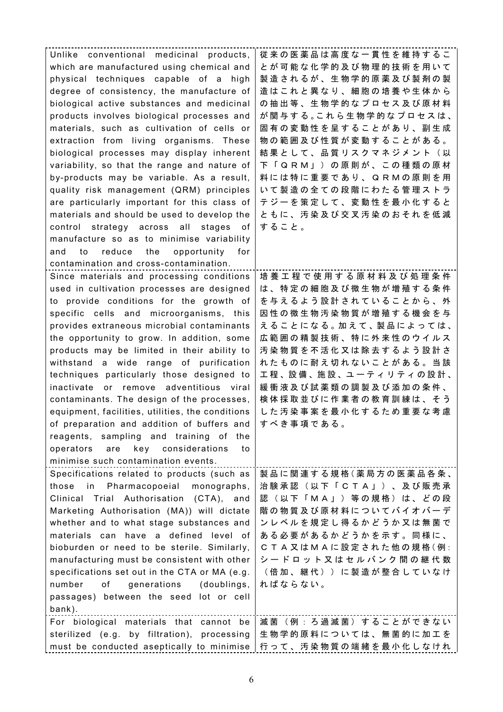| Unlike conventional medicinal products,          | 従来の医薬品は高度な一貫性を維持するこ                     |
|--------------------------------------------------|-----------------------------------------|
| which are manufactured using chemical and        | とが可能な化学的及び物理的技術を用いて                     |
| physical techniques capable of a high            | 製造されるが、生物学的原薬及び製剤の製                     |
| degree of consistency, the manufacture of        | 造はこれと異なり、細胞の培養や生体から                     |
| biological active substances and medicinal       | の抽出等、生物学的なプロセス及び原材料                     |
| products involves biological processes and       | が関与する。これら生物学的なプロセスは、                    |
| materials, such as cultivation of cells or       | 固有の変動性を呈することがあり、副生成                     |
| extraction from living organisms. These          | 物の範囲及び性質が変動することがある。                     |
| biological processes may display inherent        | 結果として、品質リスクマネジメント(以                     |
| variability, so that the range and nature of     | 下 「 Q  R  M 」 ) の 原 則 が 、 こ の 種 類 の 原 材 |
| by-products may be variable. As a result,        | 料には特に重要であり、QRMの原則を用                     |
| quality risk management (QRM) principles         | いて製造の全ての段階にわたる管理ストラ                     |
| are particularly important for this class of     | テジーを策定して、変動性を最小化すると                     |
| materials and should be used to develop the      | ともに、汚染及び交叉汚染のおそれを低減                     |
| control strategy across all stages<br>0t         | すること。                                   |
| manufacture so as to minimise variability        |                                         |
| and<br>reduce the<br>opportunity<br>for<br>to    |                                         |
| contamination and cross-contamination.           |                                         |
| Since materials and processing conditions        | 培 養 工 程 で 使 用 す る 原 材 料 及 び 処 理 条 件     |
| used in cultivation processes are designed       | は、特定の細胞及び微生物が増殖する条件                     |
| to provide conditions for the growth of          | を与えるよう設計されていることから、外                     |
| specific cells and microorganisms, this          | 因性の微生物汚染物質が増殖する機会を与                     |
| provides extraneous microbial contaminants       | えることになる。加えて、製品によっては、                    |
| the opportunity to grow. In addition, some       | 広範囲の精製技術、特に外来性のウイルス                     |
| products may be limited in their ability to      | 汚染物質を不活化又は除去するよう設計さ                     |
| withstand a wide range of purification           | れたものに耐え切れないことがある。当該                     |
| techniques particularly those designed to        | 工程、設備、施設、ユーティリティの設計、                    |
| inactivate or remove adventitious viral          | 緩衝液及び試薬類の調製及び添加の条件、                     |
| contaminants. The design of the processes,       | 検体採取並びに作業者の教育訓練は、そう                     |
| equipment, facilities, utilities, the conditions | した汚染事案を最小化するため重要な考慮                     |
| of preparation and addition of buffers and       | すべき事項である。                               |
| reagents, sampling and training of<br>the        |                                         |
| key considerations<br>operators<br>are<br>to     |                                         |
| minimise such contamination events.              |                                         |
| Specifications related to products (such as      | 製品に関連する規格(薬局方の医薬品各条、                    |
| Pharmacopoeial monographs,<br>those<br>in        | 治験承認 (以下「CTA」)、及び販売承                    |
| Clinical Trial Authorisation (CTA), and          | 認(以下「MA」)等の規格)は、どの段                     |
| Marketing Authorisation (MA)) will dictate       | 階の物質及び原材料についてバイオバーデ                     |
| whether and to what stage substances and         | ンレベルを規定し得るかどうか又は無菌で                     |
| materials can have a defined level of            | ある必要があるかどうかを示す。同様に、                     |
| bioburden or need to be sterile. Similarly,      | C T A 又はM A に設定された他の規格(例:               |
| manufacturing must be consistent with other      | シードロット又はセルバンク間の継代数                      |
| specifications set out in the CTA or MA (e.g.    | (倍加、継代))に製造が整合していなけ                     |
| generations<br>(doublings,<br>number<br>of       | ればならない。                                 |
| passages) between the seed lot or cell           |                                         |
| bank).                                           |                                         |
| For biological materials that cannot be          | 滅菌(例:ろ過滅菌)することができない                     |
| sterilized (e.g. by filtration), processing      | 生物学的原料については、無菌的に加工を                     |
| must be conducted aseptically to minimise        | 行って、汚染物質の端緒を最小化しなけれ                     |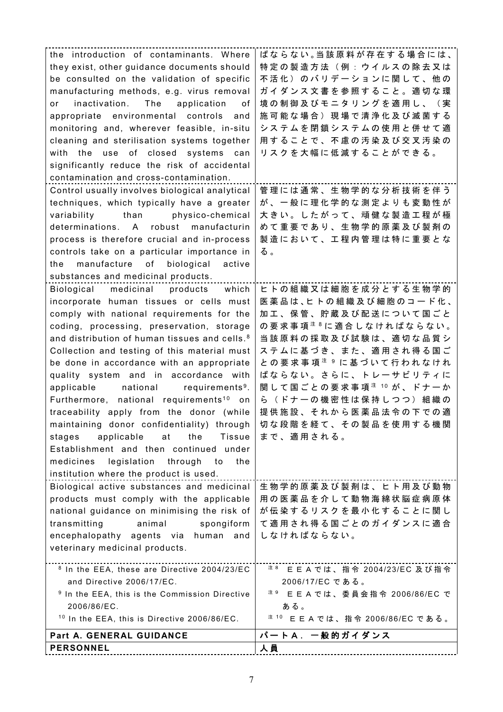|                                                           | ばならない。当該原料が存在する場合には、                              |
|-----------------------------------------------------------|---------------------------------------------------|
| the introduction of contaminants. Where                   |                                                   |
| they exist, other guidance documents should               | 特定の製造方法(例:ウイルスの除去又は                               |
| be consulted on the validation of specific                | 不活化)のバリデーションに関して、他の                               |
| manufacturing methods, e.g. virus removal                 | ガイダンス文書を参照すること。適切な環                               |
| inactivation. The application<br>of<br>or                 | 境の制御及びモニタリングを適用し、(実                               |
| appropriate environmental controls<br>and                 | 施可能な場合)現場で清浄化及び滅菌する                               |
| monitoring and, wherever feasible, in-situ                | システムを閉鎖システムの使用と併せて適                               |
| cleaning and sterilisation systems together               | 用することで、不慮の汚染及び交叉汚染の                               |
| with the use of closed systems can                        | リスクを大幅に低減することができる。                                |
| significantly reduce the risk of accidental               |                                                   |
| contamination and cross-contamination.                    |                                                   |
| Control usually involves biological analytical            | 管理には通常、生物学的な分析技術を伴う                               |
| techniques, which typically have a greater                | が、一般に理化学的な測定よりも変動性が                               |
| variability than physico-chemical                         | 大きい。したがって、頑健な製造工程が極                               |
| determinations. A robust manufacturin                     | めて重要であり、生物学的原薬及び製剤の                               |
| process is therefore crucial and in-process               | 製造において、工程内管理は特に重要とな                               |
|                                                           |                                                   |
| controls take on a particular importance in               | る。                                                |
| manufacture of biological<br>active<br>the                |                                                   |
| substances and medicinal products.                        |                                                   |
| Biological medicinal products which                       | ヒトの組織又は細胞を成分とする生物学的                               |
| incorporate human tissues or cells must                   | 医薬品は、ヒトの組織及び細胞のコード化、                              |
| comply with national requirements for the                 | 加工、保管、貯蔵及び配送について国ごと                               |
| coding, processing, preservation, storage                 | の要求事項 <sup>注8</sup> に適合しなければならない。                 |
| and distribution of human tissues and cells. <sup>8</sup> | 当該原料の採取及び試験は、適切な品質シ                               |
| Collection and testing of this material must              | ステムに基づき、また、適用され得る国ご                               |
| be done in accordance with an appropriate                 | と の 要 求 事 項 <sup>注 9</sup> に 基 づ い て 行 わ れ な け れ  |
| quality system and in accordance with                     | ばならない。さらに、トレーサビリティに                               |
| applicable national requirements <sup>9</sup> .           | 関 し て 国 ご と の 要 求 事 項 <sup>注 10</sup> が 、 ド ナ ー か |
| Furthermore, national requirements <sup>10</sup> on       | ら(ドナーの機密性は保持しつつ)組織の                               |
| traceability apply from the donor (while                  | 提供施設、それから医薬品法令の下での適                               |
| maintaining donor confidentiality) through                | 切な段階を経て、その製品を使用する機関                               |
| applicable<br>the<br><b>Tissue</b><br>at<br>stages        | まで、適用される。                                         |
| Establishment and then continued under                    |                                                   |
| medicines<br>legislation<br>through<br>the<br>to          |                                                   |
| institution where the product is used.                    |                                                   |
| Biological active substances and medicinal                | 生物学的原薬及び製剤は、ヒト用及び動物                               |
| products must comply with the applicable                  | 用の医薬品を介して動物海綿状脳症病原体                               |
| national guidance on minimising the risk of               | が伝染するリスクを最小化することに関し                               |
| animal<br>transmitting<br>spongiform                      | て適用され得る国ごとのガイダンスに適合                               |
| encephalopathy agents via human and                       | しなければならない。                                        |
| veterinary medicinal products.                            |                                                   |
| <sup>8</sup> In the EEA, these are Directive 2004/23/EC   | 注 8<br>E E A では、指令 2004/23/EC 及び指令                |
| and Directive 2006/17/EC.                                 | 2006/17/ECである。                                    |
| <sup>9</sup> In the EEA, this is the Commission Directive | 注9<br>E E A では、委員会指令 2006/86/EC で                 |
| 2006/86/EC.                                               | ある。                                               |
| <sup>10</sup> In the EEA, this is Directive 2006/86/EC.   | 注 10<br>E E A では、指令 2006/86/EC である。               |
| Part A. GENERAL GUIDANCE                                  | パートA. 一般的ガイダンス                                    |
| <b>PERSONNEL</b>                                          | 人員                                                |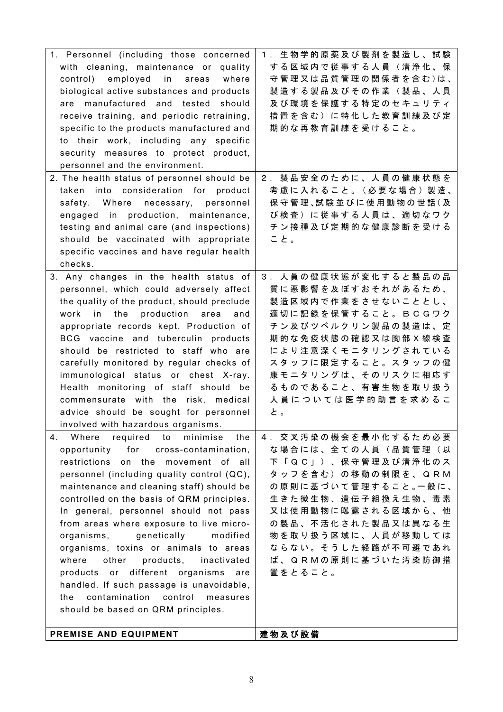| PREMISE AND EQUIPMENT                                | 建物及び設備                                   |
|------------------------------------------------------|------------------------------------------|
| should be based on QRM principles.                   |                                          |
| contamination<br>control<br>the<br>measures          |                                          |
| handled. If such passage is unavoidable,             |                                          |
| products or different organisms<br>are               |                                          |
| products, inactivated<br>other                       | 置をとること。                                  |
| organisms, toxins or animals to areas<br>where       | ば、QRMの原則に基づいた汚染防御措                       |
| genetically<br>modified<br>organisms,                | 物を取り扱う区域に、人員が移動しては<br>ならない。そうした経路が不可避であれ |
| from areas where exposure to live micro-             | の製品、不活化された製品又は異なる生                       |
| In general, personnel should not pass                | 又は使用動物に曝露される区域から、他                       |
| controlled on the basis of QRM principles.           | 生きた微生物、遺伝子組換え生物、毒素                       |
| maintenance and cleaning staff) should be            | の原則に基づいて管理すること。一般に、                      |
| personnel (including quality control (QC),           | タッフを含む)の移動の制限を、QRM                       |
| restrictions<br>on the<br>movement of all            | 下 「 Q C 」 ) 、 保 守 管 理 及 び 清 浄 化 の ス      |
| opportunity for cross-contamination,                 | な場合には、全ての人員(品質管理(以                       |
| minimise<br>4.<br>Where<br>required to<br>the        | 4. 交叉汚染の機会を最小化するため必要                     |
| involved with hazardous organisms.                   |                                          |
| advice should be sought for personnel                | と。                                       |
| commensurate with the risk, medical                  | 人員については医学的助言を求めるこ                        |
| Health monitoring of staff should be                 | るものであること、有害生物を取り扱う                       |
| immunological status or chest X-ray.                 | 康モニタリングは、そのリスクに相応す                       |
| carefully monitored by regular checks of             | スタッフに限定すること。スタッフの健                       |
| should be restricted to staff who are                | により注意深くモニタリングされている                       |
| BCG vaccine and tuberculin products                  | 期的な免疫状態の確認又は胸部X線検査                       |
| appropriate records kept. Production of              | チン及びツベルクリン製品の製造は、定                       |
| work in the production area<br>and                   | 適切に記録を保管すること。BCGワク                       |
| the quality of the product, should preclude          | 製造区域内で作業をさせないこととし、                       |
| personnel, which could adversely affect              | 質に悪影響を及ぼすおそれがあるため、                       |
| 3. Any changes in the health status of               | 3. 人員の健康状態が変化すると製品の品                     |
| specific vaccines and have regular health<br>checks. |                                          |
| should be vaccinated with appropriate                | こと。                                      |
| testing and animal care (and inspections)            | チン接種及び定期的な健康診断を受ける                       |
| engaged in production, maintenance,                  | び検査)に従事する人員は、適切なワク                       |
| safety. Where necessary, personnel                   | 保 守 管 理、試 験 並 び に 使 用 動 物 の 世 話 ( 及      |
| taken into consideration for product                 | 考慮に入れること。(必要な場合)製造、                      |
| 2. The health status of personnel should be          | 2. 製品安全のために、人員の健康状態を                     |
| personnel and the environment.                       |                                          |
| security measures to protect product,                |                                          |
| to their work, including any specific                |                                          |
| specific to the products manufactured and            | 期的な再教育訓練を受けること。                          |
| receive training, and periodic retraining,           | 措置を含む)に特化した教育訓練及び定                       |
| are manufactured and tested should                   | 及び環境を保護する特定のセキュリティ                       |
| biological active substances and products            | 製造する製品及びその作業(製品、人員                       |
| control) employed in areas<br>where                  | 守管理又は品質管理の関係者を含む)は、                      |
| with cleaning, maintenance or quality                | する区域内で従事する人員(清浄化、保                       |
| 1. Personnel (including those concerned              | 1. 生物学的原薬及び製剤を製造し、試験                     |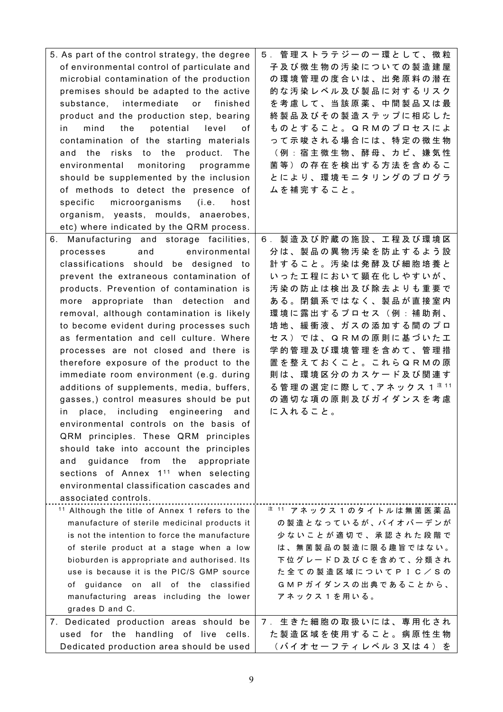| 5. As part of the control strategy, the degree            | 5. 管理ストラテジーの一環として、微粒                             |
|-----------------------------------------------------------|--------------------------------------------------|
| of environmental control of particulate and               | 子及び微生物の汚染についての製造建屋                               |
| microbial contamination of the production                 | の環境管理の度合いは、出発原料の潜在                               |
| premises should be adapted to the active                  | 的な汚染レベル及び製品に対するリスク                               |
| substance, intermediate<br>or finished                    | を考慮して、当該原薬、中間製品又は最                               |
| product and the production step, bearing                  | 終製品及びその製造ステップに相応した                               |
| potential<br>mind<br>the<br>level<br>in.<br>οf            | ものとすること。QRMのプロセスによ                               |
| contamination of the starting materials                   | って示唆される場合には、特定の微生物                               |
| risks to the<br>product.<br>and the<br>The                | (例:宿主微生物、酵母、カビ、嫌気性                               |
| environmental monitoring programme                        | 菌等)の存在を検出する方法を含めるこ                               |
| should be supplemented by the inclusion                   | とにより、環境モニタリングのプログラ                               |
| of methods to detect the presence of                      | ムを補完すること。                                        |
| microorganisms (i.e.<br>specific<br>host                  |                                                  |
| organism, yeasts, moulds, anaerobes,                      |                                                  |
| etc) where indicated by the QRM process.                  |                                                  |
| 6. Manufacturing and storage facilities,                  | 6. 製造及び貯蔵の施設、工程及び環境区                             |
| and<br>environmental<br>processes                         | 分は、製品の異物汚染を防止するよう設                               |
| classifications should be designed to                     | 計すること。汚染は発酵及び細胞培養と                               |
| prevent the extraneous contamination of                   | いった工程において顕在化しやすいが、                               |
| products. Prevention of contamination is                  | 汚染の防止は検出及び除去よりも重要で                               |
| more appropriate than detection and                       | ある。閉鎖系ではなく、製品が直接室内                               |
| removal, although contamination is likely                 | 環境に露出するプロセス(例:補助剤、                               |
| to become evident during processes such                   | 培地、緩衝液、ガスの添加する間のプロ                               |
| as fermentation and cell culture. Where                   | セス)では、QRMの原則に基づいた工                               |
| processes are not closed and there is                     | 学的管理及び環境管理を含めて、管理措                               |
| therefore exposure of the product to the                  | 置を整えておくこと。これらQRMの原                               |
| immediate room environment (e.g. during                   | 則は、環境区分のカスケード及び関連す                               |
| additions of supplements, media, buffers,                 | る 管 理 の 選 定 に 際 し て 、ア ネ ッ ク ス 1 <sup>注 11</sup> |
| gasses,) control measures should be put                   | の適切な項の原則及びガイダンスを考慮                               |
| place, including engineering<br>and<br>in.                | に入れること。                                          |
| environmental controls on the basis of                    |                                                  |
| QRM principles. These QRM principles                      |                                                  |
| should take into account the principles                   |                                                  |
| guidance from the appropriate<br>and                      |                                                  |
| sections of Annex 1 <sup>11</sup> when selecting          |                                                  |
| environmental classification cascades and                 |                                                  |
| associated controls.                                      |                                                  |
| <sup>11</sup> Although the title of Annex 1 refers to the | <sup>注 11</sup> アネックス 1 のタイトルは無菌医薬品              |
| manufacture of sterile medicinal products it              | の製造となっているが、バイオバーデンが                              |
| is not the intention to force the manufacture             | 少ないことが適切で、承認された段階で                               |
| of sterile product at a stage when a low                  | は、無菌製品の製造に限る趣旨ではない。                              |
| bioburden is appropriate and authorised. Its              | 下位グレードD及びCを含めて、分類され                              |
| use is because it is the PIC/S GMP source                 | た全ての製造区域についてPIC/Sの                               |
| guidance on all of the classified<br>of                   | GMPガイダンスの出典であることから、                              |
| manufacturing areas including the lower                   | アネックス1を用いる。                                      |
| grades D and C.                                           |                                                  |
| 7. Dedicated production areas should be                   | 7. 生きた細胞の取扱いには、専用化され                             |
| used for the handling of live cells.                      | た製造区域を使用すること。病原性生物                               |
| Dedicated production area should be used                  | (バイオセーフティレベル3又は4) を                              |
|                                                           |                                                  |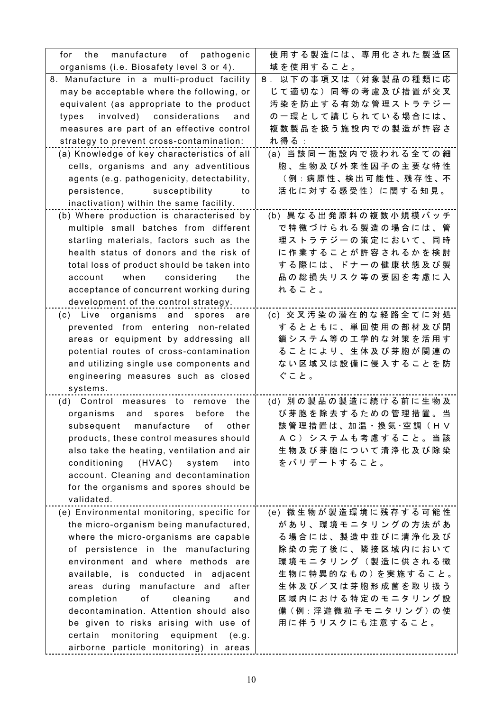| manufacture<br>of pathogenic<br>for.<br>the                          | 使用する製造には、専用化された製造区                |
|----------------------------------------------------------------------|-----------------------------------|
| organisms (i.e. Biosafety level 3 or 4).                             | 域を使用すること。                         |
| 8. Manufacture in a multi-product facility                           | 8. 以下の事項又は(対象製品の種類に応              |
| may be acceptable where the following, or                            | じて適切な)同等の考慮及び措置が交叉                |
| equivalent (as appropriate to the product                            | 汚染を防止する有効な管理ストラテジー                |
| involved) considerations<br>types<br>and                             | の一環として講じられている場合には、                |
| measures are part of an effective control                            | 複数製品を扱う施設内での製造が許容さ                |
| strategy to prevent cross-contamination:                             | れ得る:                              |
| (a) Knowledge of key characteristics of all                          | (a) 当該同一施設内で扱われる全ての細              |
| cells, organisms and any adventitious                                | 胞、生物及び外来性因子の主要な特性                 |
| agents (e.g. pathogenicity, detectability,                           | (例:病 原 性 、検 出 可 能 性 、残 存 性 、不     |
| persistence, susceptibility<br>to                                    | 活化に対する感受性)に関する知見。                 |
| inactivation) within the same facility.                              |                                   |
| (b) Where production is characterised by                             | (b) 異なる出発原料の複数小規模バッチ              |
| multiple small batches from different                                | で特徴づけられる製造の場合には、管                 |
| starting materials, factors such as the                              | 理ストラテジーの策定において、同時                 |
| health status of donors and the risk of                              | に作業することが許容されるかを検討                 |
| total loss of product should be taken into                           | する際には、ドナーの健康状態及び製                 |
| considering<br>account<br>when<br>the                                | 品の総損失リスク等の要因を考慮に入                 |
| acceptance of concurrent working during                              | れること。                             |
| development of the control strategy.                                 |                                   |
| (c) Live organisms and spores<br>are                                 | (c) 交叉汚染の潜在的な経路全てに対処              |
| prevented from entering non-related                                  | するとともに、単回使用の部材及び閉                 |
| areas or equipment by addressing all                                 | 鎖システム等の工学的な対策を活用す                 |
| potential routes of cross-contamination                              | ることにより、生体及び芽胞が関連の                 |
| and utilizing single use components and                              | ない区域又は設備に侵入することを防                 |
| engineering measures such as closed                                  | ぐこと。                              |
| systems.                                                             |                                   |
| (d) Control measures to remove<br>the                                | (d) 別の製品の製造に続ける前に生物及              |
| organisms and<br>spores<br>before<br>the                             | び芽胞を除去するための管理措置。当                 |
| manufacture                                                          | 該管理措置は、加温·換気·空調(HV                |
| subsequent<br>оf<br>other<br>products, these control measures should | AC) システムも考慮すること。当該                |
| also take the heating, ventilation and air                           | 生物及び芽胞について清浄化及び除染                 |
| conditioning<br>(HVAC)<br>system<br>into                             | をバリデートすること。                       |
| account. Cleaning and decontamination                                |                                   |
| for the organisms and spores should be                               |                                   |
| validated.                                                           |                                   |
| (e) Environmental monitoring, specific for                           | (e) 微生物が製造環境に残存する可能性              |
| the micro-organism being manufactured,                               | があり、環境モニタリングの方法があ                 |
| where the micro-organisms are capable                                | る場合には、製造中並びに清浄化及び                 |
| of persistence in the manufacturing                                  | 除染の完了後に、隣接区域内において                 |
| environment and where methods are                                    | 環境モニタリング(製造に供される微                 |
| available, is conducted in adjacent                                  | 生物に特異的なもの)を実施すること。                |
| areas during manufacture and after                                   | 生 体 及 び / 又 は 芽 胞 形 成 菌 を 取 り 扱 う |
| cleaning<br>completion<br>оf<br>and                                  | 区域内における特定のモニタリング設                 |
| decontamination. Attention should also                               | 備(例:浮遊微粒子モニタリング)の使                |
| be given to risks arising with use of                                | 用に伴うリスクにも注意すること。                  |
| monitoring<br>certain<br>equipment<br>e.g.)                          |                                   |
| airborne particle monitoring) in areas                               |                                   |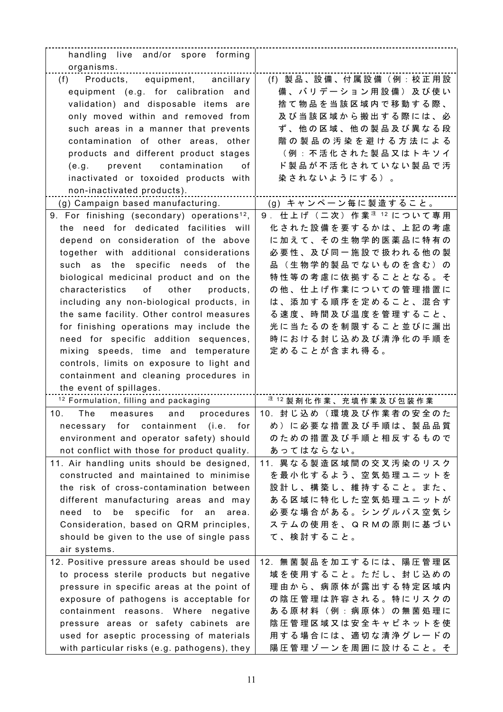| handling live and/or spore forming                      |                                     |
|---------------------------------------------------------|-------------------------------------|
| organisms.                                              |                                     |
| (f) Products, equipment, ancillary                      | (f) 製品、設備、付属設備 (例:校正用設              |
| equipment (e.g. for calibration and                     | 備、バリデーション用設備)及び使い                   |
| validation) and disposable items are                    | 捨て物品を当該区域内で移動する際、                   |
| only moved within and removed from                      | 及び当該区域から搬出する際には、必                   |
| such areas in a manner that prevents                    | ず、他の区域、他の製品及び異なる段                   |
| contamination of other areas, other                     | 階の製品の汚染を避ける方法による                    |
| products and different product stages                   | (例:不活化された製品又はトキソイ                   |
| (e.g. prevent contamination<br>0f                       | ド製品が不活化されていない製品で汚                   |
| inactivated or toxoided products with                   | 染されないようにする)。                        |
| non-inactivated products).                              |                                     |
| (g) Campaign based manufacturing.                       | (g) キャンペーン毎に製造すること。                 |
| 9. For finishing (secondary) operations <sup>12</sup> , | 9. 仕上げ (二次) 作業 $12$ について専用          |
| the need for dedicated facilities will                  | 化された設備を要するかは、上記の考慮                  |
| depend on consideration of the above                    | に加えて、その生物学的医薬品に特有の                  |
| together with additional considerations                 | 必要性、及び同一施設で扱われる他の製                  |
| such as the specific needs of the                       | 品(生物学的製品でないものを含む)の                  |
|                                                         | 特性等の考慮に依拠することとなる。そ                  |
| biological medicinal product and on the                 | の他、仕上げ作業についての管理措置に                  |
| characteristics of other<br>products,                   |                                     |
| including any non-biological products, in               | は、添加する順序を定めること、混合す                  |
| the same facility. Other control measures               | る速度、時間及び温度を管理すること、                  |
| for finishing operations may include the                | 光に当たるのを制限すること並びに漏出                  |
| need for specific addition sequences,                   | 時における封じ込め及び清浄化の手順を                  |
| mixing speeds, time and temperature                     | 定めることが含まれ得る。                        |
| controls, limits on exposure to light and               |                                     |
| containment and cleaning procedures in                  |                                     |
| the event of spillages.                                 |                                     |
| <sup>12</sup> Formulation, filling and packaging        | $^{\pm$ 12 製剤化作業、充填作業及び包装作業         |
| 10.<br>The<br>and<br>procedures<br>measures             | 10. 封じ込め (環境及び作業者の安全のた              |
| necessary for containment (i.e. for                     | め)に必要な措置及び手順は、製品品質                  |
| environment and operator safety) should                 | のための措置及び手順と相反するもので                  |
| not conflict with those for product quality.            | あってはならない。                           |
| 11. Air handling units should be designed,              | 11. 異なる製造区域間の交叉汚染のリスク               |
| constructed and maintained to minimise                  | を最小化するよう、空気処理ユニットを                  |
| the risk of cross-contamination between                 | 設計し、構築し、維持すること。また、                  |
| different manufacturing areas and may                   | ある区域に特化した空気処理ユニットが                  |
| be specific for an<br>need to<br>area.                  | 必要な場合がある。シングルパス空気シ                  |
| Consideration, based on QRM principles,                 | ステムの使用を、QRMの原則に基づい                  |
| should be given to the use of single pass               | て、検討すること。                           |
| air systems.                                            |                                     |
| 12. Positive pressure areas should be used              | 12. 無菌製品を加工するには、陽圧管理区               |
| to process sterile products but negative                | 域を使用すること。ただし、封じ込めの                  |
| pressure in specific areas at the point of              | 理由から、病原体が露出する特定区域内                  |
| exposure of pathogens is acceptable for                 | の陰圧管理は許容される。特にリスクの                  |
| containment reasons. Where negative                     | あ る 原 材 料 ( 例 : 病 原 体 ) の 無 菌 処 理 に |
| pressure areas or safety cabinets are                   | 陰圧管理区域又は安全キャビネットを使                  |
| used for aseptic processing of materials                | 用する場合には、適切な清浄グレードの                  |
| with particular risks (e.g. pathogens), they            | 陽圧管理ゾーンを周囲に設けること。そ                  |
|                                                         |                                     |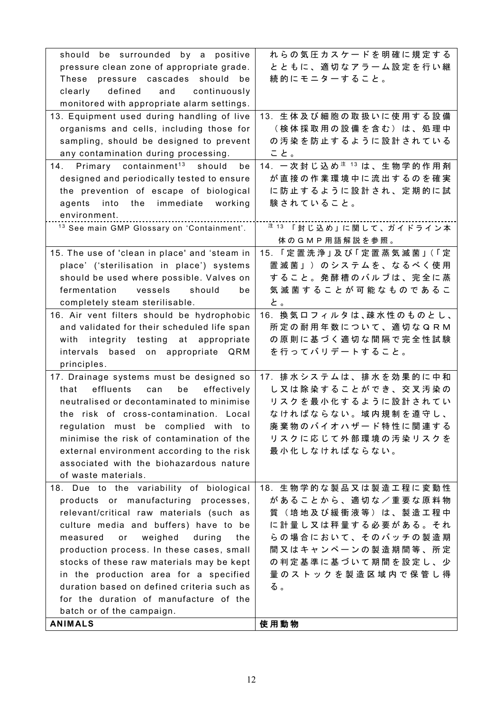| should be surrounded by a positive                    | れらの気圧カスケードを明確に規定する                   |
|-------------------------------------------------------|--------------------------------------|
| pressure clean zone of appropriate grade.             | とともに、適切なアラーム設定を行い継                   |
| These<br>pressure cascades should be                  | 続的にモニターすること。                         |
| defined and continuously<br>clearly                   |                                      |
| monitored with appropriate alarm settings.            |                                      |
| 13. Equipment used during handling of live            | 13. 生体及び細胞の取扱いに使用する設備                |
| organisms and cells, including those for              | (検体採取用の設備を含む)は、処理中                   |
| sampling, should be designed to prevent               | の汚染を防止するように設計されている                   |
| any contamination during processing.                  | こと。                                  |
| 14. Primary containment <sup>13</sup> should be       | 14. 一次封じ込め <sup>注 13</sup> は、生物学的作用剤 |
| designed and periodically tested to ensure            | が直接の作業環境中に流出するのを確実                   |
| the prevention of escape of biological                | に防止するように設計され、定期的に試                   |
| into the immediate working<br>agents                  | 験されていること。                            |
| environment.                                          |                                      |
| <sup>13</sup> See main GMP Glossary on 'Containment'. | <sup>注 13</sup> 「封じ込め」に関して、ガイドライン本   |
|                                                       | 体のGMP用語解説を参照。                        |
| 15. The use of 'clean in place' and 'steam in         | 15. 「定置洗浄」及び「定置蒸気滅菌」(「定              |
| place' ('sterilisation in place') systems             | 置滅菌」)のシステムを、なるべく使用                   |
| should be used where possible. Valves on              | すること。発酵槽のバルブは、完全に蒸                   |
| fermentation<br>vessels<br>should<br>be               | 気滅菌することが可能なものであるこ                    |
| completely steam sterilisable.                        | と。                                   |
|                                                       | 16. 換気ロフィルタは、疎水性のものとし、               |
| 16. Air vent filters should be hydrophobic            | 所定の耐用年数について、適切なQRM                   |
| and validated for their scheduled life span           |                                      |
| with integrity testing at appropriate                 | の原則に基づく適切な間隔で完全性試験                   |
| intervals based on appropriate QRM                    | を行ってバリデートすること。                       |
| principles.                                           |                                      |
| 17. Drainage systems must be designed so              | 17. 排水システムは、排水を効果的に中和                |
| effluents<br>effectively<br>that<br>be<br>can         | し又は除染することができ、交叉汚染の                   |
| neutralised or decontaminated to minimise             | リスクを最小化するように設計されてい                   |
| the risk of cross-contamination. Local                | なければならない。域内規制を遵守し、                   |
| regulation must be complied with to                   | 廃棄物のバイオハザード特性に関連する                   |
| minimise the risk of contamination of the             | リスクに応じて外部環境の汚染リスクを                   |
| external environment according to the risk            | 最小化しなければならない。                        |
| associated with the biohazardous nature               |                                      |
| of waste materials.                                   |                                      |
| 18. Due to the variability of biological              | 18. 生物学的な製品又は製造工程に変動性                |
| products or manufacturing processes,                  | があることから、適切な/重要な原料物                   |
| relevant/critical raw materials (such as              | 質(培地及び緩衝液等)は、製造工程中                   |
| culture media and buffers) have to be                 | に計量し又は秤量する必要がある。それ                   |
| measured<br>weighed<br>during<br>or<br>the            | らの場合において、そのバッチの製造期                   |
| production process. In these cases, small             | 間又はキャンペーンの製造期間等、所定                   |
| stocks of these raw materials may be kept             | の判定基準に基づいて期間を設定し、少                   |
| in the production area for a specified                | 量 の ス ト ッ ク を 製 造 区 域 内 で 保 管 し 得    |
| duration based on defined criteria such as            | る。                                   |
| for the duration of manufacture of the                |                                      |
| batch or of the campaign.                             |                                      |
| <b>ANIMALS</b>                                        | 使用動物                                 |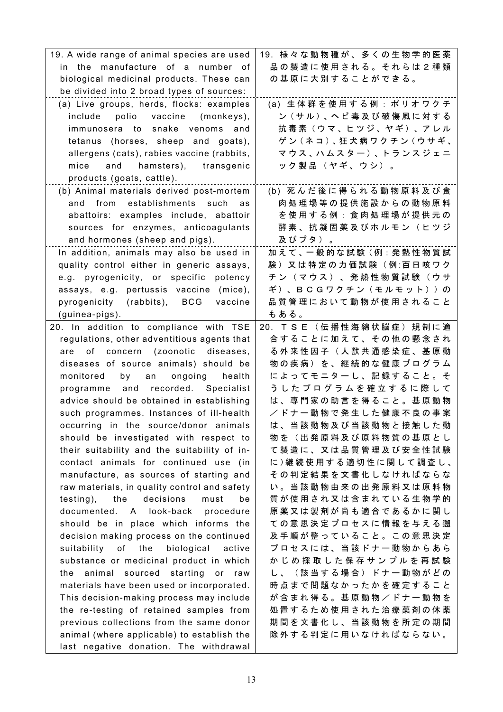| 19. A wide range of animal species are used   | 19. 様々な動物種が、多くの生物学的医薬               |
|-----------------------------------------------|-------------------------------------|
| in the manufacture of a number of             | 品 の 製 造 に 使 用 さ れ る 。 そ れ ら は 2 種 類 |
| biological medicinal products. These can      | の基原に大別することができる。                     |
| be divided into 2 broad types of sources:     |                                     |
| (a) Live groups, herds, flocks: examples      | (a) 生体群を使用する例: ポリオワクチ               |
| include polio vaccine (monkeys),              | ン(サル)、ヘビ毒及び破傷風に対する                  |
| immunosera to snake venoms<br>and             | 抗毒素(ウマ、ヒツジ、ヤギ)、アレル                  |
| tetanus (horses, sheep and goats),            | ゲン (ネコ)、狂犬病ワクチン (ウサギ、               |
| allergens (cats), rabies vaccine (rabbits,    | マウス、ハムスター)、トランスジェニ                  |
| and hamsters), transgenic<br>mice             | ック製品(ヤギ、ウシ)。                        |
| products (goats, cattle).                     |                                     |
| (b) Animal materials derived post-mortem      | (b) 死んだ後に得られる動物原料及び食                |
| and from establishments such<br>as            | 肉処理場等の提供施設からの動物原料                   |
| abattoirs: examples include, abattoir         | を使用する例:食肉処理場が提供元の                   |
| sources for enzymes, anticoagulants           | 酵 素 、 抗 凝 固 薬 及 び ホ ル モ ン ( ヒ ツ ジ   |
| and hormones (sheep and pigs).                | 及びブタ)。                              |
| In addition, animals may also be used in      | 加えて、一般的な試験(例:発熱性物質試                 |
| quality control either in generic assays,     | 験) 又は特定の力価試験 (例:百日咳ワク               |
| e.g. pyrogenicity, or specific potency        | チ ン ( マ ウ ス ) 、 発 熱 性 物 質 試 験 ( ウ サ |
| assays, e.g. pertussis vaccine (mice),        | ギ)、BCGワクチン(モルモット))の                 |
| pyrogenicity (rabbits), BCG<br>vaccine        | 品 質 管 理 に お い て 動 物 が 使 用 さ れ る こ と |
| (guinea-pigs).                                | もある。                                |
| 20. In addition to compliance with TSE        | 20. T S E (伝播性海綿状脳症) 規制に適           |
| regulations, other adventitious agents that   | 合することに加えて、その他の懸念され                  |
| of concern (zoonotic diseases,<br>are         | る 外 来 性 因 子 ( 人 獣 共 通 感 染 症 、 基 原 動 |
| diseases of source animals) should be         | 物の疾病)を、継続的な健康プログラム                  |
| an ongoing<br>monitored<br>by<br>health       | によってモニターし、記録すること。そ                  |
| programme and recorded. Specialist            | うしたプログラムを確立するに際して                   |
| advice should be obtained in establishing     | は、専門家の助言を得ること。基原動物                  |
| such programmes. Instances of ill-health      | /ドナー動物で発生した健康不良の事案                  |
| occurring in the source/donor animals         | は、当該動物及び当該動物と接触した動                  |
| should be investigated with respect to        | 物を(出発原料及び原料物質の基原とし                  |
| their suitability and the suitability of in-  | て製造に、又は品質管理及び安全性試験                  |
| contact animals for continued use (in         | に)継続使用する適切性に関して調査し、                 |
| manufacture, as sources of starting and       | その判定結果を文書化しなければならな                  |
| raw materials, in quality control and safety  | い。当該動物由来の出発原料又は原料物                  |
| decisions<br>testing),<br>the<br>must<br>be   | 質が使用され又は含まれている生物学的                  |
| documented. A look-back procedure             | 原薬又は製剤が尚も適合であるかに関し                  |
| should be in place which informs the          | ての意思決定プロセスに情報を与える遡                  |
| decision making process on the continued      | 及手順が整っていること。この意思決定                  |
| suitability of<br>the<br>biological<br>active | プロセスには、当該ドナー動物からあら                  |
| substance or medicinal product in which       | かじめ採取した保存サンプルを再試験                   |
| the animal sourced starting or raw            | し、(該当する場合)ドナー動物がどの                  |
| materials have been used or incorporated.     | 時点まで問題なかったかを確定すること                  |
| This decision-making process may include      | が含まれ得る。基原動物/ドナー動物を                  |
| the re-testing of retained samples from       | 処置するため使用された治療薬剤の休薬                  |
| previous collections from the same donor      | 期間を文書化し、当該動物を所定の期間                  |
| animal (where applicable) to establish the    | 除外する判定に用いなければならない。                  |
| last negative donation. The withdrawal        |                                     |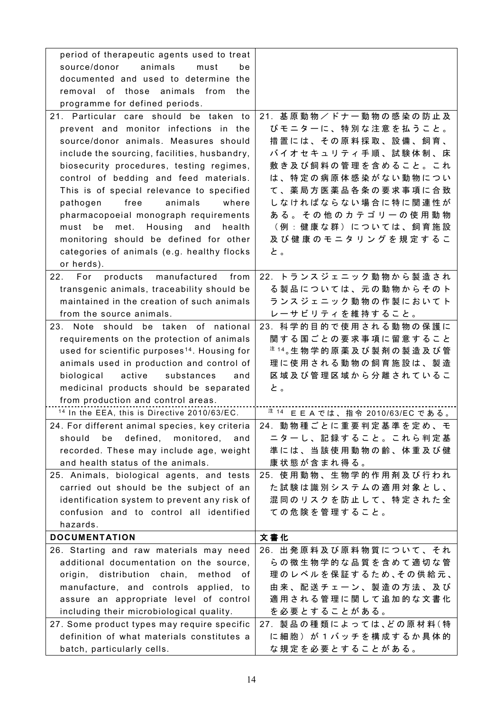| period of therapeutic agents used to treat               |                                                  |
|----------------------------------------------------------|--------------------------------------------------|
| source/donor<br>animals<br>must<br>be                    |                                                  |
| documented and used to determine the                     |                                                  |
| removal of those animals from<br>the                     |                                                  |
| programme for defined periods.                           |                                                  |
| 21. Particular care should be taken to                   | 21. 基原動物/ドナー動物の感染の防止及                            |
| prevent and monitor infections in the                    | びモニターに、特別な注意を払うこと。                               |
| source/donor animals. Measures should                    | 措置には、その原料採取、設備、飼育、                               |
| include the sourcing, facilities, husbandry,             | バイオセキュリティ手順、試験体制、床                               |
| biosecurity procedures, testing regimes,                 | 敷き及び飼料の管理を含めること。これ                               |
| control of bedding and feed materials.                   | は、特定の病原体感染がない動物につい                               |
| This is of special relevance to specified                | て、薬局方医薬品各条の要求事項に合致                               |
| pathogen<br>free<br>animals<br>where                     | しなければならない場合に特に関連性が                               |
| pharmacopoeial monograph requirements                    | ある。その他のカテゴリーの使用動物                                |
| Housing and<br>be<br>met.<br>must<br>health              | (例:健康な群)については、飼育施設                               |
| monitoring should be defined for other                   | 及び健康のモニタリングを規定するこ                                |
| categories of animals (e.g. healthy flocks               | と。                                               |
| or herds).                                               |                                                  |
| 22.<br>For<br>products manufactured<br>from              | 22. トランスジェニック動物から製造され                            |
| transgenic animals, traceability should be               | る製品については、元の動物からそのト                               |
| maintained in the creation of such animals               | ランスジェニック動物の作製においてト                               |
| from the source animals.                                 | レーサビリティを維持すること。                                  |
| 23. Note should be taken of national                     | 23. 科学的目的で使用される動物の保護に                            |
| requirements on the protection of animals                | 関する国ごとの要求事項に留意すること                               |
| used for scientific purposes <sup>14</sup> . Housing for | <sup>注 14</sup> 。生 物 学 的 原 薬 及 び 製 剤 の 製 造 及 び 管 |
| animals used in production and control of                | 理に使用される動物の飼育施設は、製造                               |
| biological<br>active<br>substances<br>and                | 区 域 及 び 管 理 区 域 か ら 分 離 さ れ て い る こ              |
| medicinal products should be separated                   | と。                                               |
| from production and control areas.                       |                                                  |
| <sup>14</sup> In the EEA, this is Directive 2010/63/EC.  | <sup>注 14</sup> EEAでは、指令 2010/63/EC である。         |
| 24. For different animal species, key criteria           | 24. 動物種ごとに重要判定基準を定め、モ                            |
| should<br>defined,<br>monitored,<br>be<br>and            | ニターし、記録すること。これら判定基                               |
| recorded. These may include age, weight                  | 準には、当該使用動物の齢、体重及び健                               |
| and health status of the animals.                        | 康状態が含まれ得る。                                       |
| 25. Animals, biological agents, and tests                | 25. 使用動物、生物学的作用剤及び行われ                            |
| carried out should be the subject of an                  | た 試 験 は 識 別 シ ス テ ム の 適 用 対 象 と し 、              |
| identification system to prevent any risk of             | 混同のリスクを防止して、特定された全                               |
| confusion and to control all identified                  | ての危険を管理すること。                                     |
| hazards.                                                 |                                                  |
| <b>DOCUMENTATION</b>                                     | 文書化                                              |
| 26. Starting and raw materials may need                  | 26. 出発原料及び原料物質について、それ                            |
| additional documentation on the source,                  | らの微生物学的な品質を含めて適切な管                               |
| origin, distribution chain,<br>method<br>0f              | 理のレベルを保証するため、その供給元、                              |
| manufacture, and controls applied, to                    | 由来、配送チェーン、製造の方法、及び                               |
| assure an appropriate level of control                   | 適用される管理に関して追加的な文書化                               |
| including their microbiological quality.                 | を必要とすることがある。                                     |
| 27. Some product types may require specific              | 27. 製品の種類によっては、どの原材料(特                           |
| definition of what materials constitutes a               | に 細 胞 ) が 1 バ ッ チ を 構 成 す る か 具 体 的              |
| batch, particularly cells.                               | な規定を必要とすることがある。                                  |
|                                                          |                                                  |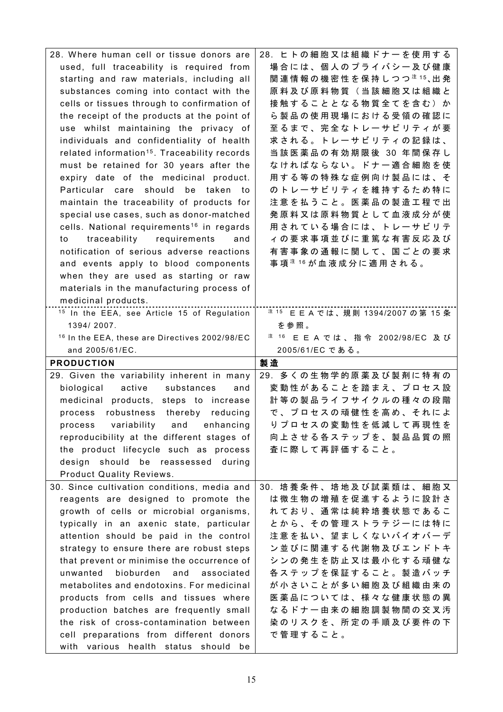| 28. Where human cell or tissue donors are                                          | 28. ヒトの細胞又は組織ドナーを使用する                       |
|------------------------------------------------------------------------------------|---------------------------------------------|
| used, full traceability is required from                                           | 場合には、個人のプライバシー及び健康                          |
| starting and raw materials, including all                                          | 関連情報の機密性を保持しつつ <sup>注15</sup> 、出発           |
| substances coming into contact with the                                            | 原料及び原料物質(当該細胞又は組織と                          |
| cells or tissues through to confirmation of                                        | 接触することとなる物質全てを含む)か                          |
| the receipt of the products at the point of                                        | ら製品の使用現場における受領の確認に                          |
| use whilst maintaining the privacy of                                              | 至るまで、完全なトレーサビリティが要                          |
| individuals and confidentiality of health                                          | 求される。トレーサビリティの記録は、                          |
| related information <sup>15</sup> . Traceability records                           | 当該医薬品の有効期限後 30 年間保存し                        |
| must be retained for 30 years after the                                            | なければならない。ドナー適合細胞を使                          |
| expiry date of the medicinal product.                                              | 用する等の特殊な症例向け製品には、そ                          |
| Particular care should<br>be taken<br>to                                           | のトレーサビリティを維持するため特に                          |
| maintain the traceability of products for                                          | 注意を払うこと。医薬品の製造工程で出                          |
| special use cases, such as donor-matched                                           | 発原料又は原料物質として血液成分が使                          |
| cells. National requirements <sup>16</sup> in regards                              | 用されている場合には、トレーサビリテ                          |
| traceability requirements<br>to<br>and                                             | ィの要求事項並びに重篤な有害反応及び                          |
| notification of serious adverse reactions                                          | 有害事象の通報に関して、国ごとの要求                          |
|                                                                                    |                                             |
| and events apply to blood components                                               | 事 項 <sup>注 16</sup> が 血 液 成 分 に 適 用 さ れ る 。 |
| when they are used as starting or raw                                              |                                             |
| materials in the manufacturing process of                                          |                                             |
| medicinal products.                                                                |                                             |
| <sup>15</sup> In the EEA, see Article 15 of Regulation                             | <sup>注 15</sup> EEAでは、規則 1394/2007 の第 15 条  |
| 1394/2007.                                                                         | を参照。                                        |
| <sup>16</sup> In the EEA, these are Directives 2002/98/EC                          | <sup>注 16</sup> E E A では、指令 2002/98/EC 及び   |
|                                                                                    |                                             |
| and 2005/61/EC.                                                                    | 2005/61/EC である。                             |
| <b>PRODUCTION</b>                                                                  | 製造                                          |
| 29. Given the variability inherent in many                                         | 29. 多くの生物学的原薬及び製剤に特有の                       |
| biological<br>active<br>substances<br>and                                          | 変動性があることを踏まえ、プロセス設                          |
| medicinal products, steps to increase                                              | 計等の製品ライフサイクルの種々の段階                          |
| robustness thereby reducing<br>process                                             | で、プロセスの頑健性を高め、それによ                          |
| process variability and enhancing                                                  | りプロセスの変動性を低減して再現性を                          |
| reproducibility at the different stages of                                         | 向上させる各ステップを、製品品質の照                          |
| the product lifecycle such as process                                              | 査に際して再評価すること。                               |
| design should be reassessed during                                                 |                                             |
| Product Quality Reviews.                                                           |                                             |
| 30. Since cultivation conditions, media and                                        | 30. 培養条件、培地及び試薬類は、細胞又                       |
| reagents are designed to promote the                                               | は微生物の増殖を促進するように設計さ                          |
|                                                                                    | れており、通常は純粋培養状態であるこ                          |
| growth of cells or microbial organisms,                                            |                                             |
| typically in an axenic state, particular                                           | とから、その管理ストラテジーには特に                          |
| attention should be paid in the control                                            | 注意を払い、望ましくないバイオバーデ                          |
| strategy to ensure there are robust steps                                          | ン並びに関連する代謝物及びエンドトキ                          |
| that prevent or minimise the occurrence of                                         | シンの発生を防止又は最小化する頑健な                          |
| bioburden and associated<br>unwanted                                               | 各ステップを保証すること。製造バッチ                          |
| metabolites and endotoxins. For medicinal                                          | が小さいことが多い細胞及び組織由来の                          |
| products from cells and tissues where                                              | 医薬品については、様々な健康状態の異                          |
| production batches are frequently small                                            | なるドナー由来の細胞調製物間の交叉汚                          |
| the risk of cross-contamination between                                            | 染 の リ ス ク を 、 所 定 の 手 順 及 び 要 件 の 下         |
| cell preparations from different donors<br>with various health status should<br>be | で管理すること。                                    |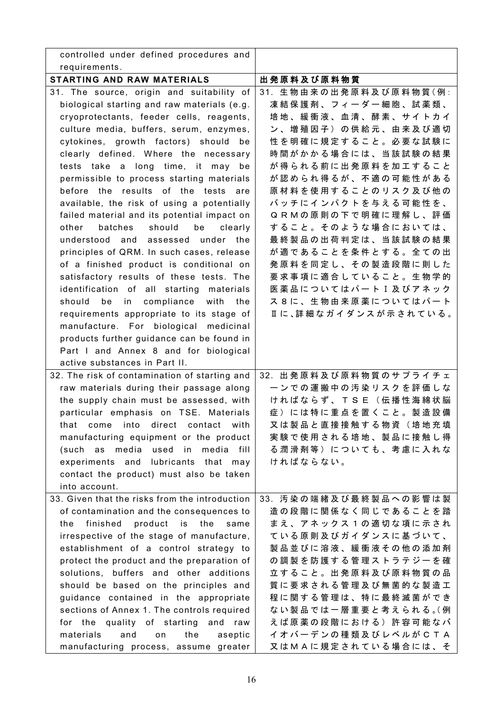| controlled under defined procedures and        |                                     |
|------------------------------------------------|-------------------------------------|
| requirements.                                  |                                     |
| STARTING AND RAW MATERIALS                     | 出発原料及び原料物質                          |
| 31. The source, origin and suitability of      | 31. 生物由来の出発原料及び原料物質(例:              |
| biological starting and raw materials (e.g.    | 凍結保護剤、フィーダー細胞、試薬類、                  |
| cryoprotectants, feeder cells, reagents,       | 培地、緩衝液、血清、酵素、サイトカイ                  |
| culture media, buffers, serum, enzymes,        | ン、増殖因子)の供給元、由来及び適切                  |
| cytokines, growth factors) should<br>be        | 性を明確に規定すること。必要な試験に                  |
| clearly defined. Where the necessary           | 時間がかかる場合には、当該試験の結果                  |
| tests take a long time, it may<br>be           | が得られる前に出発原料を加工すること                  |
| permissible to process starting materials      | が認められ得るが、不適の可能性がある                  |
| before the results of the tests<br>are         | 原材料を使用することのリスク及び他の                  |
| available, the risk of using a potentially     | バッチにインパクトを与える可能性を、                  |
| failed material and its potential impact on    | QRMの原則の下で明確に理解し、評価                  |
| batches<br>should<br>be<br>other<br>clearly    | すること。そのような場合においては、                  |
| understood and<br>assessed under the           | 最終製品の出荷判定は、当該試験の結果                  |
| principles of QRM. In such cases, release      | が適であることを条件とする。全ての出                  |
| of a finished product is conditional on        | 発原料を同定し、その製造段階に則した                  |
| satisfactory results of these tests. The       | 要求事項に適合していること。生物学的                  |
| identification of all starting materials       | 医薬品についてはパートI及びアネック                  |
| should<br>compliance with<br>be<br>in<br>the   | ス8に、生物由来原薬についてはパート                  |
| requirements appropriate to its stage of       | Ⅱに、詳細なガイダンスが示されている。                 |
| manufacture. For biological medicinal          |                                     |
| products further guidance can be found in      |                                     |
| Part I and Annex 8 and for biological          |                                     |
| active substances in Part II.                  |                                     |
| 32. The risk of contamination of starting and  | 32. 出発原料及び原料物質のサプライチェ               |
| raw materials during their passage along       | ーンでの運搬中の汚染リスクを評価しな                  |
| the supply chain must be assessed, with        | ければならず、TSE (伝播性海綿状脳                 |
| particular emphasis on TSE. Materials          | 症)には特に重点を置くこと。製造設備                  |
| that come into direct contact with             | 又は製品と直接接触する物資(培地充填                  |
| manufacturing equipment or the product         | 実験で使用される培地、製品に接触し得                  |
| (such as media used in media<br>fill           | る潤滑剤等)についても、考慮に入れな                  |
| experiments and lubricants that may            | ければならない。                            |
| contact the product) must also be taken        |                                     |
| into account.                                  |                                     |
| 33. Given that the risks from the introduction | 33. 汚染の端緒及び最終製品への影響は製               |
| of contamination and the consequences to       | 造の段階に関係なく同じであることを踏                  |
| finished product<br>same<br>the<br>is the      | まえ、アネックス1の適切な項に示され                  |
| irrespective of the stage of manufacture,      | ている原則及びガイダンスに基づいて、                  |
| establishment of a control strategy to         | 製品並びに溶液、緩衝液その他の添加剤                  |
| protect the product and the preparation of     | の調製を防護する管理ストラテジーを確                  |
| solutions, buffers and other additions         | 立すること。出発原料及び原料物質の品                  |
| should be based on the principles and          | 質に要求される管理及び無菌的な製造工                  |
| guidance contained in the appropriate          | 程に関する管理は、特に最終滅菌ができ                  |
| sections of Annex 1. The controls required     | ない製品では一層重要と考えられる。(例                 |
| for the quality of starting<br>and raw         | えば原薬の段階における)許容可能なバ                  |
| materials<br>aseptic<br>and<br>the<br>on       | イ オ バ ー デ ン の 種 類 及 び レ ベ ル が C T A |
| manufacturing process, assume greater          | 又はMAに規定されている場合には、そ                  |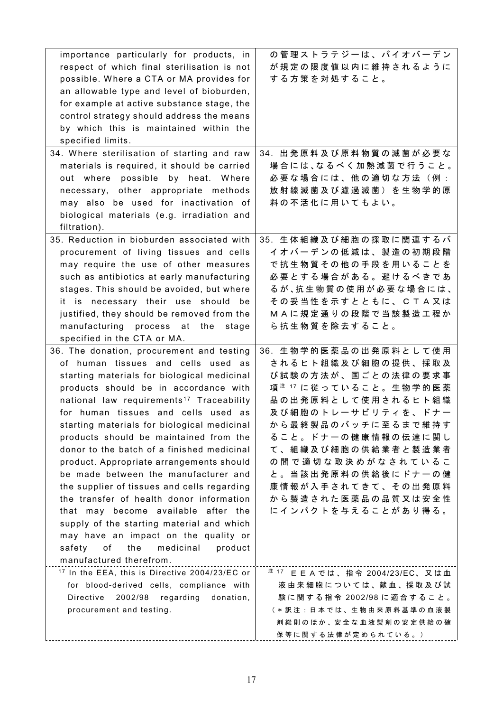| importance particularly for products, in                  | の管理ストラテジーは、バイオバーデン                         |
|-----------------------------------------------------------|--------------------------------------------|
| respect of which final sterilisation is not               | が規定の限度値以内に維持されるように                         |
| possible. Where a CTA or MA provides for                  | する方策を対処すること。                               |
| an allowable type and level of bioburden,                 |                                            |
| for example at active substance stage, the                |                                            |
| control strategy should address the means                 |                                            |
| by which this is maintained within the                    |                                            |
| specified limits.                                         |                                            |
| 34. Where sterilisation of starting and raw               | 34. 出発原料及び原料物質の滅菌が必要な                      |
|                                                           | 場合には、なるべく加熱滅菌で行うこと。                        |
| materials is required, it should be carried               |                                            |
| out where possible by heat. Where                         | 必要な場合には、他の適切な方法(例:                         |
| necessary, other appropriate methods                      | 放射線滅菌及び濾過滅菌)を生物学的原                         |
| may also be used for inactivation of                      | 料の不活化に用いてもよい。                              |
| biological materials (e.g. irradiation and                |                                            |
| filtration).                                              |                                            |
| 35. Reduction in bioburden associated with                | 35. 生体組織及び細胞の採取に関連するバ                      |
| procurement of living tissues and cells                   | イオバーデンの低減は、製造の初期段階                         |
| may require the use of other measures                     | で抗生物質その他の手段を用いることを                         |
| such as antibiotics at early manufacturing                | 必要とする場合がある。避けるべきであ                         |
| stages. This should be avoided, but where                 | るが、抗生物質の使用が必要な場合には、                        |
| it is necessary their use should be                       | その妥当性を示すとともに、CTA又は                         |
| justified, they should be removed from the                | MAに規定通りの段階で当該製造工程か                         |
| manufacturing process at the<br>stage                     | ら 抗 生 物 質 を 除 去 す る こ と 。                  |
| specified in the CTA or MA.                               |                                            |
| 36. The donation, procurement and testing                 | 36. 生物学的医薬品の出発原料として使用                      |
| of human tissues and cells used as                        | されるヒト組織及び細胞の提供、採取及                         |
| starting materials for biological medicinal               | び試験の方法が、国ごとの法律の要求事                         |
| products should be in accordance with                     | 項 注 17 に従っていること。生物学的医薬                     |
|                                                           |                                            |
| national law requirements <sup>17</sup> Traceability      | 品の出発原料として使用されるヒト組織                         |
| for human tissues and cells used as                       | 及び細胞のトレーサビリティを、ドナー                         |
| starting materials for biological medicinal               | から最終製品のバッチに至るまで維持す                         |
| products should be maintained from the                    | る こ と 。 ド ナ 一 の 健 康 情 報 の 伝 達 に 関 し        |
| donor to the batch of a finished medicinal                | て、組織及び細胞の供給業者と製造業者                         |
| product. Appropriate arrangements should                  | の間で適切な取決めがなされているこ                          |
| be made between the manufacturer and                      | と 。 当 該 出 発 原 料 の 供 給 後 に ド ナ 一 の 健        |
| the supplier of tissues and cells regarding               | 康情報が入手されてきて、その出発原料                         |
| the transfer of health donor information                  | から製造された医薬品の品質又は安全性                         |
| that may become available after the                       | にインパクトを与えることがあり得る。                         |
| supply of the starting material and which                 |                                            |
| may have an impact on the quality or                      |                                            |
| the<br>medicinal<br>product<br>safety<br>of               |                                            |
| manufactured therefrom.                                   |                                            |
| <sup>17</sup> In the EEA, this is Directive 2004/23/EC or | <sup>注 17</sup> E E A では、指令 2004/23/EC、又は血 |
| for blood-derived cells, compliance with                  | 液由来細胞については、献血、採取及び試                        |
| Directive<br>2002/98 regarding<br>donation,               | 験に関する指令 2002/98に適合すること。                    |
| procurement and testing.                                  | ( * 訳注: 日本では、生物由来原料基準の血液製                  |
|                                                           | 剤総則のほか、安全な血液製剤の安定供給の確                      |
|                                                           | 保等に関する法律が定められている。)                         |
|                                                           |                                            |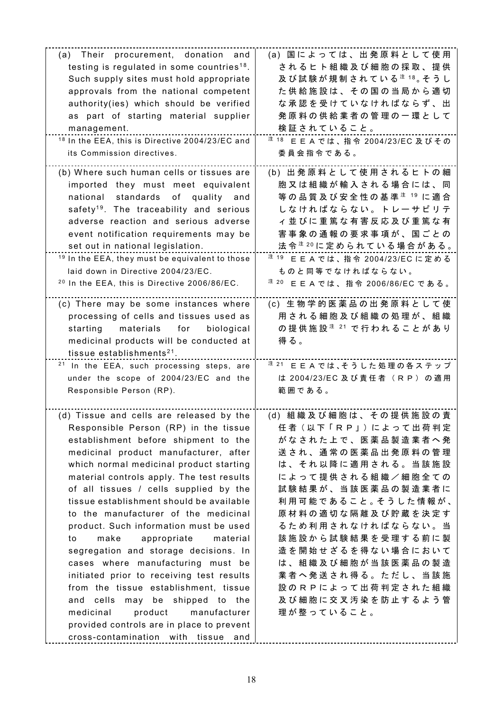| (a) Their procurement, donation and                        | (a) 国によっては、出発原料として使用                          |
|------------------------------------------------------------|-----------------------------------------------|
| testing is regulated in some countries <sup>18</sup> .     | されるヒト組織及び細胞の採取、提供                             |
| Such supply sites must hold appropriate                    | 及び試験が規制されている ${}^{\ddagger}$ 18。そうし           |
|                                                            |                                               |
| approvals from the national competent                      | た供給施設は、その国の当局から適切                             |
| authority(ies) which should be verified                    | な承認を受けていなければならず、出                             |
| as part of starting material supplier                      | 発原料の供給業者の管理の一環として                             |
| management.                                                | 検証されていること。                                    |
|                                                            |                                               |
| <sup>18</sup> In the EEA, this is Directive 2004/23/EC and | <sup>注 18</sup> EEAでは、指令 2004/23/EC 及びその      |
| its Commission directives.                                 | 委員会指令である。                                     |
|                                                            |                                               |
| (b) Where such human cells or tissues are                  | (b) 出発原料として使用されるヒトの細                          |
| imported they must meet equivalent                         | 胞又は組織が輸入される場合には、同                             |
| national standards<br>of<br>quality<br>and                 | 等 の 品 質 及 び 安 全 性 の 基 準 <sup>注 19</sup> に 適 合 |
| safety <sup>19</sup> . The traceability and serious        | しなければならない。トレーサビリテ                             |
|                                                            |                                               |
| adverse reaction and serious adverse                       | ィ 並 び に 重 篤 な 有 害 反 応 及 び 重 篤 な 有             |
| event notification requirements may be                     | 害事象の通報の要求事項が、国ごとの                             |
| set out in national legislation.                           | 法令 ${}^{\ddagger}$ 20に定められている場合がある。           |
| <sup>19</sup> In the EEA, they must be equivalent to those | <sup>注 19</sup> EEAでは、指令 2004/23/EC に定める      |
| laid down in Directive 2004/23/EC.                         | ものと同等でなければならない。                               |
| <sup>20</sup> In the EEA, this is Directive 2006/86/EC.    | <sup>注 20</sup> EEAでは、指令 2006/86/EC である。      |
|                                                            |                                               |
| (c) There may be some instances where                      | (c) 生物学的医薬品の出発原料として使                          |
|                                                            | 用される細胞及び組織の処理が、組織                             |
| processing of cells and tissues used as                    |                                               |
| biological<br>starting<br>materials<br>for                 | の 提 供 施 設 <sup>注 21</sup> で 行 わ れ る こ と が あ り |
| medicinal products will be conducted at                    | 得る。                                           |
| tissue establishments <sup>21</sup> .                      |                                               |
| <sup>21</sup> In the EEA, such processing steps, are       | <sup>注 21</sup> E E A では、そうした処理の各ステップ         |
| under the scope of 2004/23/EC and the                      | は 2004/23/EC 及び責任者 (RP) の適用                   |
| Responsible Person (RP).                                   | 範囲である。                                        |
|                                                            |                                               |
|                                                            |                                               |
| (d) Tissue and cells are released by the                   | (d) 組織及び細胞は、その提供施設の責                          |
| Responsible Person (RP) in the tissue                      | 任者 (以下「RP」)によって出荷判定                           |
| establishment before shipment to the                       | がなされた上で、医薬品製造業者へ発                             |
| medicinal product manufacturer, after                      | 送され、通常の医薬品出発原料の管理                             |
| which normal medicinal product starting                    | は、それ以降に適用される。当該施設                             |
| material controls apply. The test results                  | によって提供される組織/細胞全ての                             |
| of all tissues / cells supplied by the                     | 試験結果が、当該医薬品の製造業者に                             |
|                                                            |                                               |
| tissue establishment should be available                   | 利用可能であること。そうした情報が、                            |
| to the manufacturer of the medicinal                       | 原材料の適切な隔離及び貯蔵を決定す                             |
| product. Such information must be used                     | るため利用されなければならない。当                             |
| make<br>appropriate<br>material<br>to                      | 該施設から試験結果を受理する前に製                             |
| segregation and storage decisions. In                      | 造を開始せざるを得ない場合において                             |
| cases where manufacturing must be                          | は、組織及び細胞が当該医薬品の製造                             |
|                                                            |                                               |
| initiated prior to receiving test results                  | 業者へ発送され得る。ただし、当該施                             |
| from the tissue establishment, tissue                      | 設のRPによって出荷判定された組織                             |
| and cells<br>may be shipped to the                         | 及び細胞に交叉汚染を防止するよう管                             |
| medicinal<br>product<br>manufacturer                       | 理が整っていること。                                    |
| provided controls are in place to prevent                  |                                               |
| cross-contamination with tissue                            |                                               |
| and                                                        |                                               |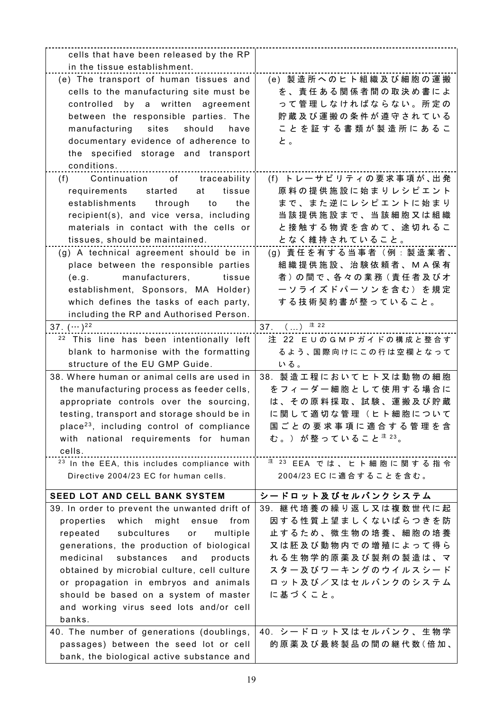| cells that have been released by the RP                 |                                   |
|---------------------------------------------------------|-----------------------------------|
| in the tissue establishment.                            |                                   |
| (e) The transport of human tissues and                  | (e) 製造所へのヒト組織及び細胞の運搬              |
| cells to the manufacturing site must be                 | を、責任ある関係者間の取決め書によ                 |
| controlled by a written agreement                       | って管理しなければならない。所定の                 |
| between the responsible parties. The                    | 貯蔵及び運搬の条件が遵守されている                 |
| manufacturing sites<br>should<br>have                   | ことを証する書類が製造所にあるこ                  |
| documentary evidence of adherence to                    | と。                                |
| the specified storage and transport                     |                                   |
| conditions.                                             |                                   |
| Continuation of traceability<br>(f)                     | (f) トレーサビリティの要求事項が、出発             |
| tissue<br>requirements<br>started<br>at                 | 原料の提供施設に始まりレシピエント                 |
| establishments through to<br>the                        | まで、また逆にレシピエントに始まり                 |
| recipient(s), and vice versa, including                 | 当該提供施設まで、当該細胞又は組織                 |
| materials in contact with the cells or                  | と接触する物資を含めて、途切れるこ                 |
| tissues, should be maintained.                          | となく維持されていること。                     |
| (g) A technical agreement should be in                  | (g) 責任を有する当事者 (例:製造業者、            |
| place between the responsible parties                   | 組織提供施設、治験依頼者、MA保有                 |
| manufacturers,<br>tissue<br>(e.g.                       | 者)の間で、各々の業務(責任者及びオ                |
| establishment, Sponsors, MA Holder)                     | ーソライズドパーソンを含む)を規定                 |
| which defines the tasks of each party,                  | する技術契約書が整っていること。                  |
| including the RP and Authorised Person.                 |                                   |
| 37. $(\cdots)^{22}$                                     | 37. $()^{3}$ 22                   |
| <sup>22</sup> This line has been intentionally left     | 注 22 EUのGMPガイドの構成と整合す             |
| blank to harmonise with the formatting                  | るよう、国際向けにこの行は空欄となって               |
| structure of the EU GMP Guide.                          | いる。                               |
| 38. Where human or animal cells are used in             | 38. 製造工程においてヒト又は動物の細胞             |
| the manufacturing process as feeder cells,              | をフィーダー細胞として使用する場合に                |
| appropriate controls over the sourcing,                 | は、その原料採取、試験、運搬及び貯蔵                |
| testing, transport and storage should be in             | に関して適切な管理(ヒト細胞について                |
| place <sup>23</sup> , including control of compliance   | 国ごとの要求事項に適合する管理を含                 |
| with national requirements for human                    | む。) が整っていること <sup>注 23</sup> 。    |
| cells.                                                  |                                   |
| <sup>23</sup> In the EEA, this includes compliance with | <sup>注 23</sup> EEA では、ヒト細胞に関する指令 |
| Directive 2004/23 EC for human cells.                   | 2004/23 EC に適合することを含む。            |
|                                                         |                                   |
| SEED LOT AND CELL BANK SYSTEM                           | シードロット及びセルバンクシステム                 |
| 39. In order to prevent the unwanted drift of           | 39. 継代培養の繰り返し又は複数世代に起             |
| which<br>might<br>from<br>properties<br>ensue           | 因する性質上望ましくないばらつきを防                |
| repeated<br>subcultures<br>multiple<br>or               | 止するため、微生物の培養、細胞の培養                |
| generations, the production of biological               | 又は胚及び動物内での増殖によって得ら                |
| medicinal<br>substances<br>products<br>and              | れる生物学的原薬及び製剤の製造は、マ                |
| obtained by microbial culture, cell culture             | スター及びワーキングのウイルスシード                |
| or propagation in embryos and animals                   | ロット及び/又はセルバンクのシステム                |
| should be based on a system of master                   | に基づくこと。                           |
| and working virus seed lots and/or cell                 |                                   |
| banks.                                                  |                                   |
| 40. The number of generations (doublings,               | 40. シードロット又はセルバンク、生物学             |
| passages) between the seed lot or cell                  | 的原薬及び最終製品の間の継代数(倍加、               |
| bank, the biological active substance and               |                                   |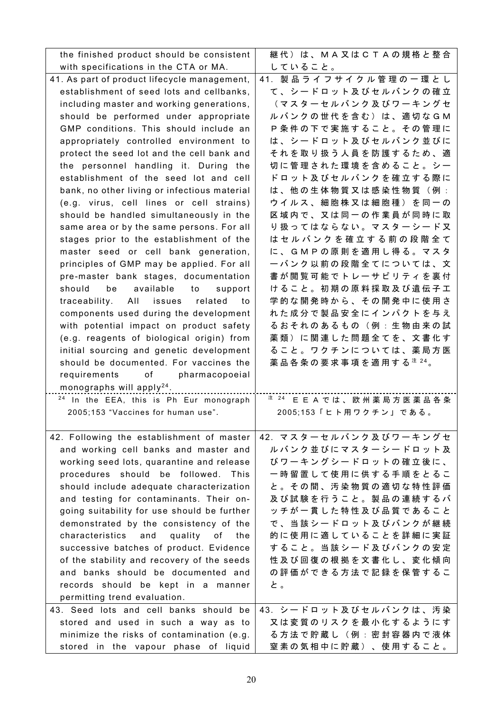| the finished product should be consistent          | 継代)は、MA又はCTAの規格と整合                  |
|----------------------------------------------------|-------------------------------------|
| with specifications in the CTA or MA.              | していること。                             |
| 41. As part of product lifecycle management,       | 41. 製品ライフサイクル管理の一環とし                |
| establishment of seed lots and cellbanks,          | て、シードロット及びセルバンクの確立                  |
| including master and working generations,          | (マスターセルバンク及びワーキングセ                  |
| should be performed under appropriate              | ルバンクの世代を含む)は、適切なGM                  |
| GMP conditions. This should include an             | P条件の下で実施すること。その管理に                  |
| appropriately controlled environment to            | は、シードロット及びセルバンク並びに                  |
| protect the seed lot and the cell bank and         | それを取り扱う人員を防護するため、適                  |
| the personnel handling it. During the              | 切に管理された環境を含めること。シー                  |
| establishment of the seed lot and cell             | ドロット及びセルバンクを確立する際に                  |
| bank, no other living or infectious material       | は、他の生体物質又は感染性物質(例:                  |
| (e.g. virus, cell lines or cell strains)           | ウ イ ル ス 、 細 胞 株 又 は 細 胞 種 ) を 同 一 の |
| should be handled simultaneously in the            | 区域内で、又は同一の作業員が同時に取                  |
| same area or by the same persons. For all          | り扱ってはならない。マスターシード又                  |
| stages prior to the establishment of the           | はセルバンクを確立する前の段階全て                   |
| master seed or cell bank generation,               | に、GMPの原則を適用し得る。マスタ                  |
| principles of GMP may be applied. For all          | ーバンク以前の段階全てについては、文                  |
| pre-master bank stages, documentation              | 書が閲覧可能でトレーサビリティを裏付                  |
| be available to<br>should<br>support               | けること。初期の原料採取及び遺伝子工                  |
| traceability.<br>All issues<br>related<br>to       | 学的な開発時から、その開発中に使用さ                  |
| components used during the development             | れた成分で製品安全にインパクトを与え                  |
| with potential impact on product safety            | るおそれのあるもの(例:生物由来の試                  |
| (e.g. reagents of biological origin) from          | 薬類)に関連した問題全てを、文書化す                  |
| initial sourcing and genetic development           | ること。ワクチンについては、薬局方医                  |
| should be documented. For vaccines the             | 薬品各条の要求事項を適用する $24$ 。               |
| requirements of pharmacopoeial                     |                                     |
| monographs will apply <sup>24</sup> .              |                                     |
| <sup>24</sup> In the EEA, this is Ph Eur monograph | <sup>注 24</sup> E E A では、欧州薬局方医薬品各条 |
| 2005;153 "Vaccines for human use".                 | 2005;153「ヒト用ワクチン」である。               |
|                                                    |                                     |
| 42. Following the establishment of master          | 42. マスターセルバンク及びワーキングセ               |
| and working cell banks and master and              | ルバンク並びにマスターシードロット及                  |
| working seed lots, quarantine and release          | びワーキングシードロットの確立後に、                  |
| procedures should be followed. This                | 一時留置して使用に供する手順をとるこ                  |
| should include adequate characterization           | と。その間、汚染物質の適切な特性評価                  |
| and testing for contaminants. Their on-            | 及び試験を行うこと。製品の連続するバ                  |
| going suitability for use should be further        | ッチが一貫した特性及び品質であること                  |
| demonstrated by the consistency of the             | で、当該シードロット及びバンクが継続                  |
| characteristics and<br>quality of the              | 的に使用に適していることを詳細に実証                  |
| successive batches of product. Evidence            | すること。当該シード及びバンクの安定                  |
| of the stability and recovery of the seeds         | 性及び回復の根拠を文書化し、変化傾向                  |
| and banks should be documented and                 | の評価ができる方法で記録を保管するこ                  |
|                                                    |                                     |
| records should be kept in a manner                 | と。                                  |
| permitting trend evaluation.                       |                                     |
| 43. Seed lots and cell banks should be             | 43. シードロット及びセルバンクは、汚染               |
| stored and used in such a way as to                | 又は変質のリスクを最小化するようにす                  |
| minimize the risks of contamination (e.g.          | る方法で貯蔵し(例:密封容器内で液体                  |
| stored in the vapour phase of liquid               | 窒素の気相中に貯蔵)、使用すること。                  |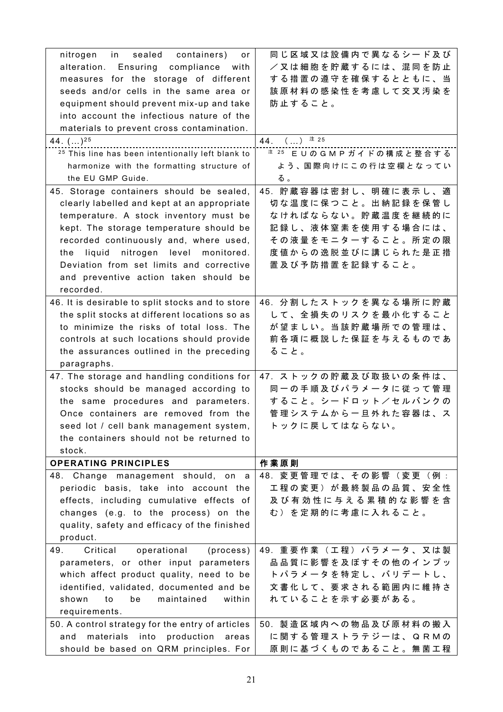| nitrogen in sealed containers)<br>or                                                   | 同じ区域又は設備内で異なるシード及び                       |
|----------------------------------------------------------------------------------------|------------------------------------------|
| alteration. Ensuring<br>compliance<br>with                                             | /又は細胞を貯蔵するには、混同を防止                       |
| measures for the storage of different                                                  | する措置の遵守を確保するとともに、当                       |
| seeds and/or cells in the same area or                                                 | 該原材料の感染性を考慮して交叉汚染を                       |
| equipment should prevent mix-up and take                                               | 防止すること。                                  |
| into account the infectious nature of the                                              |                                          |
| materials to prevent cross contamination.                                              |                                          |
| 44. $()^{25}$                                                                          | 44. () <sup>注 25</sup>                   |
| <sup>25</sup> This line has been intentionally left blank to                           | <sup>注 25</sup> EUのGMPガイドの構成と整合する        |
| harmonize with the formatting structure of                                             | よう、国際向けにこの行は空欄となってい                      |
| the EU GMP Guide.                                                                      | る。                                       |
| 45. Storage containers should be sealed,                                               | 45. 貯蔵容器は密封し、明確に表示し、適                    |
| clearly labelled and kept at an appropriate                                            | 切な温度に保つこと。出納記録を保管し                       |
| temperature. A stock inventory must be                                                 | なければならない。貯蔵温度を継続的に                       |
| kept. The storage temperature should be                                                | 記録し、液体窒素を使用する場合には、                       |
| recorded continuously and, where used,                                                 | その液量をモニターすること。所定の限                       |
| liquid nitrogen level monitored.<br>the                                                | 度値からの逸脱並びに講じられた是正措                       |
| Deviation from set limits and corrective                                               | 置及び予防措置を記録すること。                          |
| and preventive action taken should be                                                  |                                          |
| recorded.                                                                              |                                          |
| 46. It is desirable to split stocks and to store                                       | 46. 分割したストックを異なる場所に貯蔵                    |
| the split stocks at different locations so as                                          | して、全損失のリスクを最小化すること                       |
| to minimize the risks of total loss. The                                               | が望ましい。当該貯蔵場所での管理は、                       |
| controls at such locations should provide                                              | 前各項に概説した保証を与えるものであ                       |
|                                                                                        |                                          |
| the assurances outlined in the preceding                                               | ること。                                     |
| paragraphs.                                                                            |                                          |
| 47. The storage and handling conditions for                                            | 47. ストックの貯蔵及び取扱いの条件は、                    |
| stocks should be managed according to                                                  | 同一の手順及びパラメータに従って管理                       |
| the same procedures and parameters.                                                    | すること。シードロット/セルバンクの                       |
| Once containers are removed from the                                                   | 管理システムから一旦外れた容器は、ス                       |
| seed lot / cell bank management system,                                                | トックに戻してはならない。                            |
| the containers should not be returned to                                               |                                          |
| stock.                                                                                 |                                          |
| <b>OPERATING PRINCIPLES</b>                                                            | 作業原則                                     |
| 48. Change management should, on a                                                     | 48. 変更管理では、その影響(変更(例:                    |
| periodic basis, take into account the                                                  | 工程の変更)が最終製品の品質、安全性                       |
| effects, including cumulative effects of                                               | 及び有効性に与える累積的な影響を含                        |
| changes (e.g. to the process) on the                                                   | む)を定期的に考慮に入れること。                         |
| quality, safety and efficacy of the finished                                           |                                          |
| product.                                                                               |                                          |
| 49.<br>operational<br>Critical<br>(process)                                            | 49. 重要作業(工程)パラメータ、又は製                    |
| parameters, or other input parameters                                                  | 品品質に影響を及ぼすその他のインプッ                       |
| which affect product quality, need to be                                               | トパラメータを特定し、バリデートし、                       |
| identified, validated, documented and be                                               | 文書化して、要求される範囲内に維持さ                       |
| maintained<br>within<br>shown<br>to<br>be                                              | れていることを示す必要がある。                          |
| requirements.                                                                          |                                          |
| 50. A control strategy for the entry of articles                                       | 50. 製造区域内への物品及び原材料の搬入                    |
| production<br>materials into<br>and<br>areas<br>should be based on QRM principles. For | に関する管理ストラテジーは、QRMの<br>原則に基づくものであること。無菌工程 |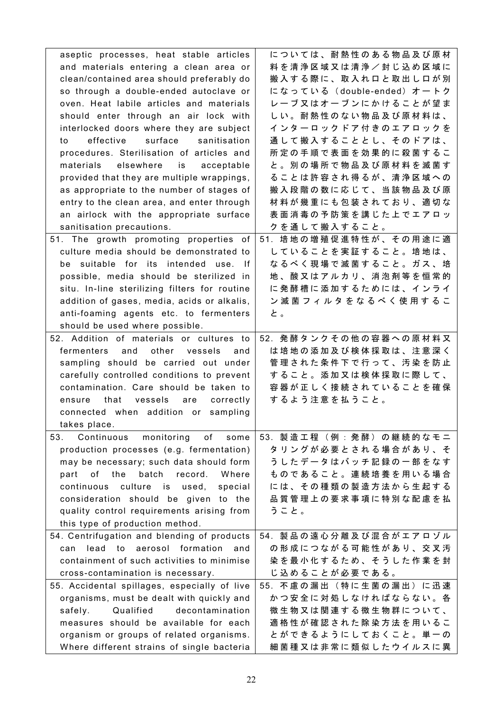| aseptic processes, heat stable articles                                                                                                                | については、耐熱性のある物品及び原材       |
|--------------------------------------------------------------------------------------------------------------------------------------------------------|--------------------------|
| and materials entering a clean area or                                                                                                                 | 料を清浄区域又は清浄/封じ込め区域に       |
| clean/contained area should preferably do                                                                                                              | 搬入する際に、取入れ口と取出し口が別       |
| so through a double-ended autoclave or                                                                                                                 | になっている(double-ended)オートク |
| oven. Heat labile articles and materials                                                                                                               | レーブ又はオーブンにかけることが望ま       |
| should enter through an air lock with                                                                                                                  | しい。耐熱性のない物品及び原材料は、       |
| interlocked doors where they are subject                                                                                                               | インターロックドア付きのエアロックを       |
| effective<br>surface<br>sanitisation<br>to                                                                                                             | 通して搬入することとし、そのドアは、       |
| procedures. Sterilisation of articles and                                                                                                              | 所定の手順で表面を効果的に殺菌するこ       |
| elsewhere<br>materials<br>is is a structure of the set of the set of the set of the set of the set of the set of the set of the set of t<br>acceptable | と。別の場所で物品及び原材料を滅菌す       |
| provided that they are multiple wrappings,                                                                                                             | ることは許容され得るが、清浄区域への       |
| as appropriate to the number of stages of                                                                                                              | 搬入段階の数に応じて、当該物品及び原       |
| entry to the clean area, and enter through                                                                                                             | 材料が幾重にも包装されており、適切な       |
| an airlock with the appropriate surface                                                                                                                | 表面消毒の予防策を講じた上でエアロッ       |
| sanitisation precautions.                                                                                                                              | クを通して搬入すること。             |
| 51. The growth promoting properties of                                                                                                                 | 51. 培地の増殖促進特性が、その用途に適    |
| culture media should be demonstrated to                                                                                                                | していることを実証すること。培地は、       |
| be suitable for its intended use. If                                                                                                                   | なるべく現場で滅菌すること。ガス、培       |
| possible, media should be sterilized in                                                                                                                | 地、酸又はアルカリ、消泡剤等を恒常的       |
| situ. In-line sterilizing filters for routine                                                                                                          | に発酵槽に添加するためには、インライ       |
| addition of gases, media, acids or alkalis,                                                                                                            | ン滅菌フィルタをなるべく使用するこ        |
| anti-foaming agents etc. to fermenters                                                                                                                 | と。                       |
| should be used where possible.                                                                                                                         |                          |
| 52. Addition of materials or cultures to                                                                                                               | 52. 発酵タンクその他の容器への原材料又    |
| fermenters<br>and<br>other vessels<br>and                                                                                                              | は培地の添加及び検体採取は、注意深く       |
| sampling should be carried out under                                                                                                                   | 管理された条件下で行って、汚染を防止       |
| carefully controlled conditions to prevent                                                                                                             | すること。添加又は検体採取に際して、       |
| contamination. Care should be taken to                                                                                                                 | 容器が正しく接続されていることを確保       |
| that vessels                                                                                                                                           | するよう注意を払うこと。             |
| are<br>correctly<br>ensure                                                                                                                             |                          |
| connected when addition or sampling                                                                                                                    |                          |
| takes place.                                                                                                                                           |                          |
| 53.<br>of<br>Continuous<br>monitoring<br>some                                                                                                          | 53. 製造工程(例:発酵)の継続的なモニ    |
| production processes (e.g. fermentation)                                                                                                               | タリングが必要とされる場合があり、そ       |
| may be necessary; such data should form                                                                                                                | うしたデータはバッチ記録の一部をなす       |
| batch<br>record.<br>Where<br>part of the                                                                                                               | ものであること。連続培養を用いる場合       |
| culture is used,<br>special<br>continuous                                                                                                              | には、その種類の製造方法から生起する       |
| consideration should be given to the                                                                                                                   | 品質管理上の要求事項に特別な配慮を払       |
| quality control requirements arising from                                                                                                              | うこと。                     |
| this type of production method.                                                                                                                        |                          |
| 54. Centrifugation and blending of products                                                                                                            | 54. 製品の遠心分離及び混合がエアロゾル    |
| aerosol formation<br>lead to<br>and<br>can                                                                                                             | の形成につながる可能性があり、交叉汚       |
| containment of such activities to minimise                                                                                                             | 染を最小化するため、そうした作業を封       |
| cross-contamination is necessary.                                                                                                                      | じ込めることが必要である。            |
| 55. Accidental spillages, especially of live                                                                                                           | 55. 不慮の漏出(特に生菌の漏出)に迅速    |
| organisms, must be dealt with quickly and                                                                                                              | かつ安全に対処しなければならない。各       |
| Qualified<br>decontamination<br>safely.                                                                                                                | 微生物又は関連する微生物群について、       |
| measures should be available for each                                                                                                                  | 適格性が確認された除染方法を用いるこ       |
| organism or groups of related organisms.                                                                                                               | とができるようにしておくこと。単一の       |
| Where different strains of single bacteria                                                                                                             | 細菌種又は非常に類似したウイルスに異       |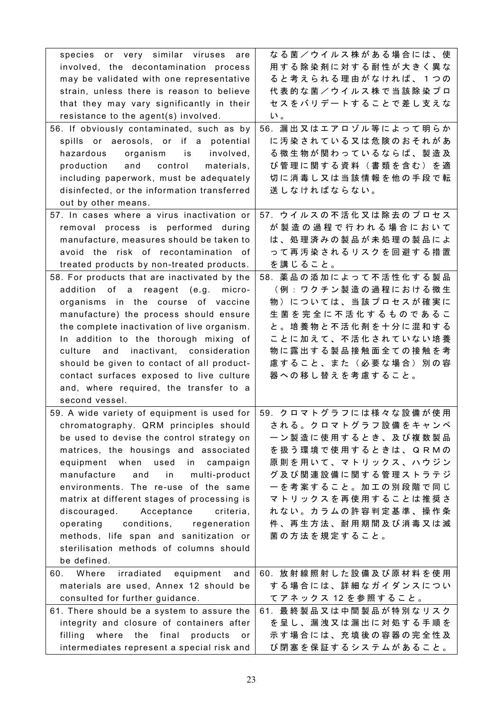| species or very similar viruses are              | なる菌/ウイルス株がある場合には、使                       |
|--------------------------------------------------|------------------------------------------|
| involved, the decontamination process            | 用する除染剤に対する耐性が大きく異な                       |
| may be validated with one representative         | ると考えられる理由がなければ、1つの                       |
| strain, unless there is reason to believe        | 代表的な菌/ウイルス株で当該除染プロ                       |
| that they may vary significantly in their        | セスをバリデートすることで差し支えな                       |
| resistance to the agent(s) involved.             | $\mathsf{L}^{\scriptscriptstyle\bullet}$ |
| 56. If obviously contaminated, such as by        | 56. 漏出又はエアロゾル等によって明らか                    |
| spills or aerosols, or if a potential            | に汚染されている又は危険のおそれがあ                       |
| hazardous<br>organism is<br>involved,            | る微生物が関わっているならば、製造及                       |
| production and control<br>materials,             | び管理に関する資料(書類を含む)を適                       |
| including paperwork, must be adequately          | 切に消毒し又は当該情報を他の手段で転                       |
| disinfected, or the information transferred      | 送しなければならない。                              |
| out by other means.                              |                                          |
| 57. In cases where a virus inactivation or       | 57. ウイルスの不活化又は除去のプロセス                    |
| removal process is performed during              | が製造の過程で行われる場合において                        |
| manufacture, measures should be taken to         | は、処理済みの製品が未処理の製品によ                       |
| avoid the risk of recontamination of             | って再汚染されるリスクを回避する措置                       |
| treated products by non-treated products.        | を講じること。                                  |
| 58. For products that are inactivated by the     | 58. 薬品の添加によって不活性化する製品                    |
| addition of a reagent (e.g.<br>micro-            | (例:ワクチン製造の過程における微生                       |
| organisms in the course of vaccine               | 物)については、当該プロセスが確実に                       |
| manufacture) the process should ensure           | 生菌を完全に不活化するものであるこ                        |
| the complete inactivation of live organism.      | と。 培養物と不活化剤を十分に混和する                      |
| In addition to the thorough mixing of            | ことに加えて、不活化されていない培養                       |
| culture<br>and inactivant, consideration         | 物に露出する製品接触面全ての接触を考                       |
| should be given to contact of all product-       | 慮すること、また(必要な場合)別の容                       |
| contact surfaces exposed to live culture         | 器への移し替えを考慮すること。                          |
| and, where required, the transfer to a           |                                          |
| second vessel.                                   |                                          |
| 59. A wide variety of equipment is used for      | 59. クロマトグラフには様々な設備が使用                    |
| chromatography. QRM principles should            | される。クロマトグラフ設備をキャンペ                       |
| be used to devise the control strategy on        | ーン製造に使用するとき、及び複数製品                       |
| matrices, the housings and associated            | を扱う環境で使用するときは、QRMの                       |
| equipment when used<br>campaign<br>in            | 原則を用いて、マトリックス、ハウジン                       |
| manufacture<br>and<br>in<br>multi-product        | グ及び関連設備に関する管理ストラテジ                       |
| environments. The re-use of the same             | 一を考案すること。加工の別段階で同じ                       |
| matrix at different stages of processing is      | マトリックスを再使用することは推奨さ                       |
| discouraged. Acceptance<br>criteria.             | れない。カラムの許容判定基準、操作条                       |
| operating<br>conditions,<br>regeneration         | 件、再生方法、耐用期間及び消毒又は滅                       |
| methods, life span and sanitization or           | 菌の方法を規定すること。                             |
| sterilisation methods of columns should          |                                          |
| be defined.                                      |                                          |
| irradiated equipment<br>Where<br>and<br>60.      | 60. 放射線照射した設備及び原材料を使用                    |
| materials are used, Annex 12 should be           | する場合には、詳細なガイダンスについ                       |
| consulted for further guidance.                  | てアネックス 12 を参照すること。                       |
| 61. There should be a system to assure the       | 61. 最終製品又は中間製品が特別なリスク                    |
| integrity and closure of containers after        | を呈し、漏洩又は漏出に対処する手順を                       |
| filling<br>where the<br>final<br>products<br>or. | 示す場合には、充填後の容器の完全性及                       |
| intermediates represent a special risk and       | び閉塞を保証するシステムがあること。                       |
|                                                  |                                          |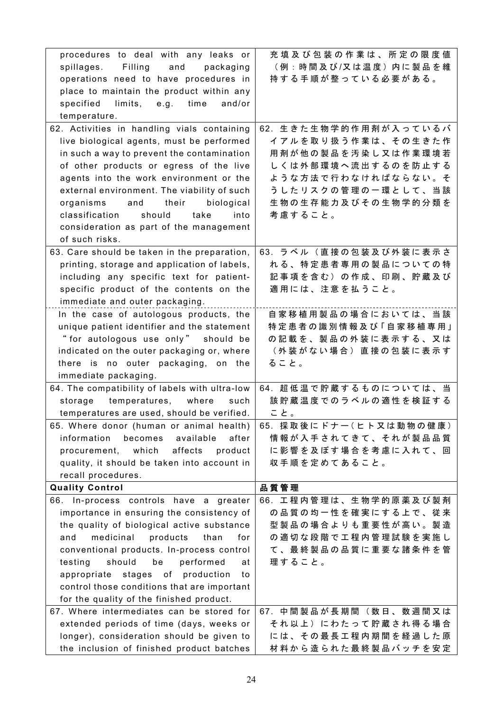| procedures to deal with any leaks or                                                   | 充填及び包装の作業は、所定の限度値                        |
|----------------------------------------------------------------------------------------|------------------------------------------|
| spillages. Filling<br>and<br>packaging                                                 | (例:時間及び/又は温度)内に製品を維                      |
| operations need to have procedures in                                                  | 持する手順が整っている必要がある。                        |
| place to maintain the product within any                                               |                                          |
| limits, e.g. time<br>specified<br>and/or                                               |                                          |
| temperature.                                                                           |                                          |
| 62. Activities in handling vials containing                                            | 62. 生きた生物学的作用剤が入っているバ                    |
| live biological agents, must be performed                                              | イアルを取り扱う作業は、その生きた作                       |
| in such a way to prevent the contamination                                             | 用剤が他の製品を汚染し又は作業環境若                       |
| of other products or egress of the live                                                | しくは外部環境へ流出するのを防止する                       |
| agents into the work environment or the                                                | ような方法で行わなければならない。そ                       |
| external environment. The viability of such                                            | うしたリスクの管理の一環として、当該                       |
| organisms<br>their<br>biological<br>and                                                | 生物の生存能力及びその生物学的分類を                       |
| classification<br>should<br>take<br>into                                               | 考慮すること。                                  |
| consideration as part of the management                                                |                                          |
| of such risks.                                                                         |                                          |
| 63. Care should be taken in the preparation,                                           | 63. ラベル(直接の包装及び外装に表示さ                    |
| printing, storage and application of labels,                                           | れる、特定患者専用の製品についての特                       |
| including any specific text for patient-                                               | 記事項を含む)の作成、印刷、貯蔵及び                       |
| specific product of the contents on the                                                | 適用には、注意を払うこと。                            |
| immediate and outer packaging.                                                         |                                          |
| In the case of autologous products, the                                                | 自家移植用製品の場合においては、当該                       |
| unique patient identifier and the statement                                            | 特定患者の識別情報及び「自家移植専用」                      |
| "for autologous use only" should be                                                    | の記載を、製品の外装に表示する、又は                       |
| indicated on the outer packaging or, where                                             | (外装がない場合)直接の包装に表示す                       |
|                                                                                        |                                          |
|                                                                                        | ること。                                     |
| there is no outer packaging, on the<br>immediate packaging.                            |                                          |
| 64. The compatibility of labels with ultra-low                                         | 64. 超低温で貯蔵するものについては、当                    |
| temperatures, where<br>storage<br>such                                                 | 該貯蔵温度でのラベルの適性を検証する                       |
| temperatures are used, should be verified.                                             | こと。                                      |
| 65. Where donor (human or animal health)                                               | 65. 採取後にドナー(ヒト又は動物の健康)                   |
| information<br>becomes<br>available<br>after                                           | 情報が入手されてきて、それが製品品質                       |
| product<br>procurement, which<br>affects                                               | に影響を及ぼす場合を考慮に入れて、回                       |
| quality, it should be taken into account in                                            | 収手順を定めてあること。                             |
| recall procedures.                                                                     |                                          |
| <b>Quality Control</b>                                                                 | 品質管理                                     |
| 66. In-process controls have a greater                                                 | 66. 工程内管理は、生物学的原薬及び製剤                    |
| importance in ensuring the consistency of                                              | の品質の均一性を確実にする上で、従来                       |
| the quality of biological active substance                                             | 型製品の場合よりも重要性が高い。製造                       |
| products<br>medicinal<br>than<br>and<br>for                                            | の適切な段階で工程内管理試験を実施し                       |
| conventional products. In-process control                                              | て、最終製品の品質に重要な諸条件を管                       |
| testing<br>should<br>performed<br>be<br>at                                             | 理すること。                                   |
| appropriate stages of production<br>to                                                 |                                          |
| control those conditions that are important                                            |                                          |
| for the quality of the finished product.                                               |                                          |
| 67. Where intermediates can be stored for                                              | 67. 中間製品が長期間 (数日、数週間又は                   |
| extended periods of time (days, weeks or                                               | それ以上)にわたって貯蔵され得る場合                       |
| longer), consideration should be given to<br>the inclusion of finished product batches | には、その最長工程内期間を経過した原<br>材料から造られた最終製品バッチを安定 |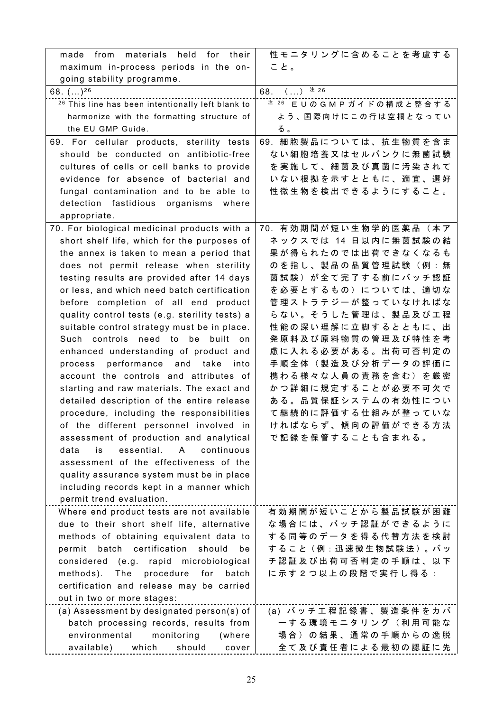| materials held for their<br>made from                                               | 性モニタリングに含めることを考慮する                       |
|-------------------------------------------------------------------------------------|------------------------------------------|
| maximum in-process periods in the on-                                               | こと。                                      |
| going stability programme.                                                          |                                          |
| 68. $()^{26}$                                                                       | $( )$ $\pm 26$<br>68.                    |
| <sup>26</sup> This line has been intentionally left blank to                        | $*$ $26$ EUのGMPガイドの構成と整合する               |
| harmonize with the formatting structure of                                          | よう、国際向けにこの行は空欄となってい                      |
| the EU GMP Guide.                                                                   | る。                                       |
| 69. For cellular products, sterility tests                                          | 69. 細胞製品については、抗生物質を含ま                    |
| should be conducted on antibiotic-free                                              | ない細胞培養又はセルバンクに無菌試験                       |
| cultures of cells or cell banks to provide                                          | を実施して、細菌及び真菌に汚染されて                       |
| evidence for absence of bacterial and                                               | いない根拠を示すとともに、適宜、選好                       |
| fungal contamination and to be able to                                              | 性微生物を検出できるようにすること。                       |
| detection fastidious organisms<br>where                                             |                                          |
| appropriate.                                                                        |                                          |
| 70. For biological medicinal products with a                                        | 70. 有効期間が短い生物学的医薬品 (本ア                   |
| short shelf life, which for the purposes of                                         | ネックスでは 14 日以内に無菌試験の結                     |
| the annex is taken to mean a period that                                            | 果が得られたのでは出荷できなくなるも                       |
| does not permit release when sterility                                              | のを指し、製品の品質管理試験(例:無                       |
| testing results are provided after 14 days                                          | 菌試験)が全て完了する前にバッチ認証                       |
| or less, and which need batch certification                                         | を必要とするもの)については、適切な                       |
| before completion of all end product                                                | 管理ストラテジーが整っていなければな                       |
| quality control tests (e.g. sterility tests) a                                      | らない。そうした管理は、製品及び工程                       |
| suitable control strategy must be in place.                                         | 性能の深い理解に立脚するとともに、出                       |
| need to be built on<br>Such controls                                                | 発 原 料 及 び 原 料 物 質 の 管 理 及 び 特 性 を 考      |
| enhanced understanding of product and                                               | 慮に入れる必要がある。出荷可否判定の                       |
| process performance and take into                                                   | 手順全体(製造及び分析データの評価に                       |
| account the controls and attributes of                                              | 携わる様々な人員の責務を含む)を厳密                       |
| starting and raw materials. The exact and                                           | かつ詳細に規定することが必要不可欠で<br>ある。品質保証システムの有効性につい |
| detailed description of the entire release                                          |                                          |
| procedure, including the responsibilities<br>of the different personnel involved in | て継続的に評価する仕組みが整っていな<br>ければならず、傾向の評価ができる方法 |
| assessment of production and analytical                                             | で記録を保管することも含まれる。                         |
| essential.<br>continuous<br>data<br>is<br>$\mathsf{A}$                              |                                          |
| assessment of the effectiveness of the                                              |                                          |
| quality assurance system must be in place                                           |                                          |
| including records kept in a manner which                                            |                                          |
| permit trend evaluation.                                                            |                                          |
| Where end product tests are not available                                           | 有効期間が短いことから製品試験が困難                       |
| due to their short shelf life, alternative                                          | な場合には、バッチ認証ができるように                       |
| methods of obtaining equivalent data to                                             | する同等のデータを得る代替方法を検討                       |
| certification<br>should<br>permit<br>batch<br>be                                    | すること (例:迅速微生物試験法)。バッ                     |
| considered (e.g. rapid microbiological                                              | チ認証及び出荷可否判定の手順は、以下                       |
| procedure<br>methods).<br>The<br>for<br>batch                                       | に示す2つ以上の段階で実行し得る:                        |
| certification and release may be carried                                            |                                          |
| out in two or more stages:                                                          |                                          |
| (a) Assessment by designated person(s) of                                           | (a) バッチエ程記録書、製造条件をカバ                     |
| batch processing records, results from                                              | 一する環境モニタリング(利用可能な                        |
| environmental<br>monitoring<br>(where                                               | 場合)の結果、通常の手順からの逸脱                        |
| available)<br>which<br>should<br>cover                                              | 全て及び責任者による最初の認証に先                        |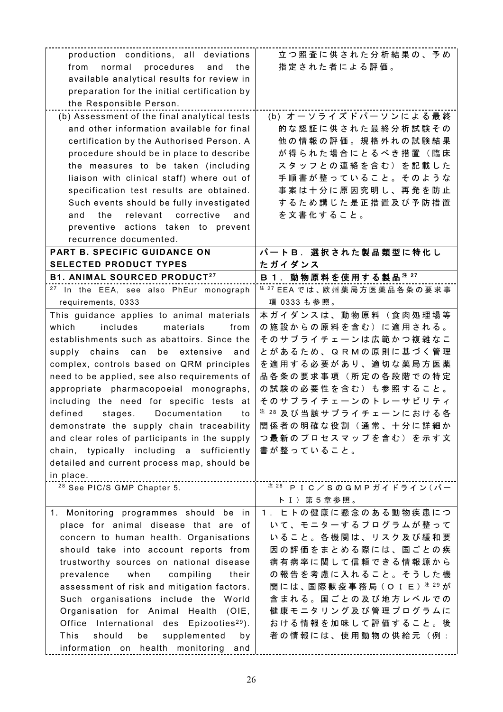| production conditions, all deviations                | 立つ照査に供された分析結果の、予め                                 |
|------------------------------------------------------|---------------------------------------------------|
| normal procedures<br>from<br>and<br>the              | 指定された者による評価。                                      |
| available analytical results for review in           |                                                   |
| preparation for the initial certification by         |                                                   |
| the Responsible Person.                              |                                                   |
| (b) Assessment of the final analytical tests         | (b) オーソライズドパーソンによる最終                              |
| and other information available for final            | 的な認証に供された最終分析試験その                                 |
| certification by the Authorised Person. A            | 他の情報の評価。規格外れの試験結果                                 |
| procedure should be in place to describe             | が得られた場合にとるべき措置(臨床                                 |
| the measures to be taken (including                  | スタッフとの連絡を含む)を記載した                                 |
| liaison with clinical staff) where out of            | 手順書が整っていること。そのような                                 |
| specification test results are obtained.             | 事案は十分に原因究明し、再発を防止                                 |
|                                                      | するため講じた是正措置及び予防措置                                 |
| Such events should be fully investigated             |                                                   |
| the<br>relevant corrective<br>and<br>and             | を文書化すること。                                         |
| preventive actions taken to prevent                  |                                                   |
| recurrence documented.                               |                                                   |
| PART B. SPECIFIC GUIDANCE ON                         | パートB. 選択された製品類型に特化し                               |
| <b>SELECTED PRODUCT TYPES</b>                        | たガイダンス                                            |
| <b>B1. ANIMAL SOURCED PRODUCT27</b>                  | B 1. 動物原料を使用する製品 <sup>注 27</sup>                  |
| <sup>27</sup> In the EEA, see also PhEur monograph   | <sup>注 27</sup> EEA では、欧州薬局方医薬品各条の要求事             |
| requirements, 0333                                   | 項 0333 も参照。                                       |
| This guidance applies to animal materials            | 本ガイダンスは、動物原料(食肉処理場等                               |
| includes<br>which<br>materials<br>from               | の施設からの原料を含む)に適用される。                               |
| establishments such as abattoirs. Since the          | そのサプライチェーンは広範かつ複雑なこ                               |
| supply chains can<br>be extensive<br>and             | とがあるため、QRMの原則に基づく管理                               |
| complex, controls based on QRM principles            | を適用する必要があり、適切な薬局方医薬                               |
| need to be applied, see also requirements of         | 品各条の要求事項(所定の各段階での特定                               |
| appropriate pharmacopoeial monographs,               | の試験の必要性を含む)も参照すること。                               |
| including the need for specific tests at             | そのサプライチェーンのトレーサビリティ                               |
| defined<br>Documentation<br>stages.<br>to            | <sup>注 28</sup> 及 び 当 該 サ プ ラ イ チ ェ ー ン に お け る 各 |
| demonstrate the supply chain traceability            | 関係者の明確な役割(通常、十分に詳細か                               |
| and clear roles of participants in the supply        | つ最新のプロセスマップを含む)を示す文                               |
| chain, typically including a sufficiently            | 書が整っていること。                                        |
| detailed and current process map, should be          |                                                   |
| in place.                                            |                                                   |
| <sup>28</sup> See PIC/S GMP Chapter 5.               | $\frac{1}{2}$ 28 PIC/SOGMP ガイドライン $($ パー          |
|                                                      | ト I ) 第 5 章 参 照 。                                 |
| 1. Monitoring programmes should be<br>in             | 1. ヒトの健康に懸念のある動物疾患につ                              |
| place for animal disease that are of                 | いて、モニターするプログラムが整って                                |
| concern to human health. Organisations               | いること。各機関は、リスク及び緩和要                                |
| should take into account reports from                | 因の評価をまとめる際には、国ごとの疾                                |
| trustworthy sources on national disease              | 病有病率に関して信頼できる情報源から                                |
| compiling<br>prevalence<br>when<br>their             | の報告を考慮に入れること。そうした機                                |
| assessment of risk and mitigation factors.           | 関には、国際獣疫事務局(O I E) <sup>注 29</sup> が              |
| Such organisations include the World                 | 含まれる。国ごとの及び地方レベルでの                                |
| Organisation for Animal Health<br>(OIE,              | 健康モニタリング及び管理プログラムに                                |
|                                                      | おける情報を加味して評価すること。後                                |
| Office International des Epizooties <sup>29</sup> ). |                                                   |
| This<br>should<br>be<br>supplemented<br>by           | 者の情報には、使用動物の供給元(例:                                |
| information on health monitoring<br>and              |                                                   |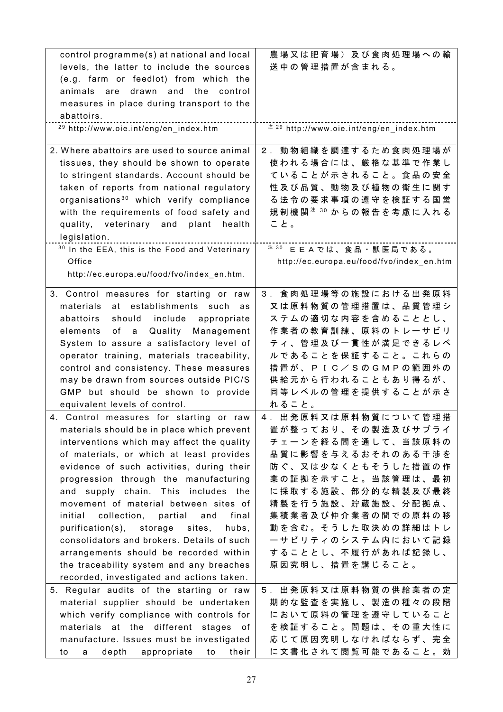| control programme(s) at national and local                | 農場又は肥育場)及び食肉処理場への輸                              |
|-----------------------------------------------------------|-------------------------------------------------|
| levels, the latter to include the sources                 | 送中の管理措置が含まれる。                                   |
| (e.g. farm or feedlot) from which the                     |                                                 |
| animals are<br>drawn and<br>the<br>control                |                                                 |
| measures in place during transport to the                 |                                                 |
| abattoirs.                                                |                                                 |
| <sup>29</sup> http://www.oie.int/eng/en_index.htm         | # 29 http://www.oie.int/eng/en_index.htm        |
|                                                           |                                                 |
| 2. Where abattoirs are used to source animal              | 2. 動物組織を調達するため食肉処理場が                            |
| tissues, they should be shown to operate                  | 使われる場合には、厳格な基準で作業し                              |
| to stringent standards. Account should be                 | ていることが示されること。食品の安全                              |
| taken of reports from national regulatory                 | 性及び品質、動物及び植物の衛生に関す                              |
| organisations <sup>30</sup> which verify compliance       | る法令の要求事項の遵守を検証する国営                              |
| with the requirements of food safety and                  | 規 制 機 関 <sup>注 30</sup> か ら の 報 告 を 考 慮 に 入 れ る |
| veterinary and<br>plant<br>quality,<br>health             | こと。                                             |
| legislation.                                              |                                                 |
| <sup>30</sup> In the EEA, this is the Food and Veterinary | 注 30<br>EEAでは、食品·獣医局である。                        |
| Office                                                    | http://ec.europa.eu/food/fvo/index_en.htm       |
| http://ec.europa.eu/food/fvo/index_en.htm.                |                                                 |
| 3. Control measures for starting or raw                   | 3. 食肉処理場等の施設における出発原料                            |
| materials<br>at establishments such<br>as                 | 又は原料物質の管理措置は、品質管理シ                              |
| should include<br>abattoirs<br>appropriate                | ステムの適切な内容を含めることとし、                              |
| elements<br>of<br>Quality<br>Management<br>a              | 作業者の教育訓練、原料のトレーサビリ                              |
| System to assure a satisfactory level of                  | ティ、管理及び一貫性が満足できるレベ                              |
| operator training, materials traceability,                | ルであることを保証すること。これらの                              |
| control and consistency. These measures                   | 措 置 が 、 P I C / S の G M P の 範 囲 外 の             |
| may be drawn from sources outside PIC/S                   | 供給元から行われることもあり得るが、                              |
| GMP but should be shown to provide                        | 同等レベルの管理を提供することが示さ                              |
| equivalent levels of control.                             | れること。                                           |
| 4. Control measures for starting or raw                   | 4. 出発原料又は原料物質について管理措                            |
| materials should be in place which prevent                | 置が整っており、その製造及びサプライ                              |
| interventions which may affect the quality                | チェーンを経る間を通して、当該原料の                              |
| of materials, or which at least provides                  | 品質に影響を与えるおそれのある干渉を                              |
| evidence of such activities, during their                 | 防ぐ、又は少なくともそうした措置の作                              |
| progression through the manufacturing                     | 業の証拠を示すこと。当該管理は、最初                              |
| and supply chain. This includes<br>the                    | に採取する施設、部分的な精製及び最終                              |
| movement of material between sites of                     | 精製を行う施設、貯蔵施設、分配拠点、                              |
| collection,<br>partial<br>final<br>initial<br>and         | 集積業者及び仲介業者の間での原料の移                              |
| purification(s), storage<br>sites,<br>hubs,               | 動を含む。そうした取決めの詳細はトレ                              |
| consolidators and brokers. Details of such                | ーサビリティのシステム内において記録                              |
| arrangements should be recorded within                    | することとし、不履行があれば記録し、                              |
| the traceability system and any breaches                  | 原因究明し、措置を講じること。                                 |
| recorded, investigated and actions taken.                 |                                                 |
| 5. Regular audits of the starting or raw                  | 5. 出発原料又は原料物質の供給業者の定                            |
| material supplier should be undertaken                    | 期的な監査を実施し、製造の種々の段階                              |
| which verify compliance with controls for                 | において原料の管理を遵守していること                              |
| materials at the different stages<br>of                   | を検証すること。問題は、その重大性に                              |
| manufacture. Issues must be investigated                  | 応じて原因究明しなければならず、完全                              |
| depth<br>appropriate<br>their<br>to<br>to<br>a            | に文書化されて閲覧可能であること。効                              |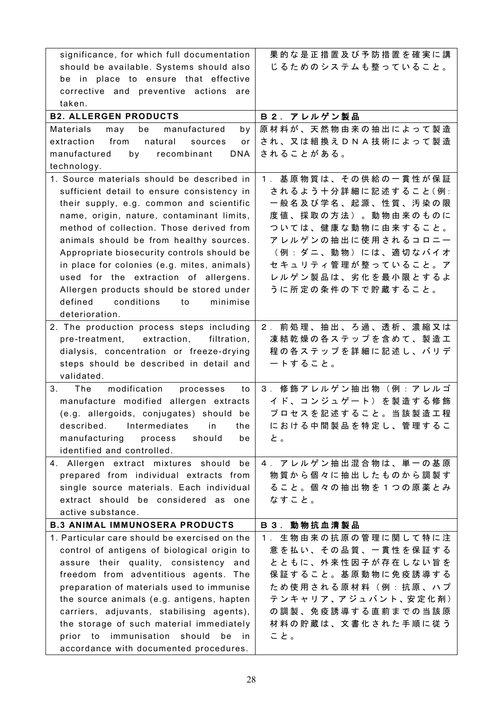| significance, for which full documentation     | 果的な是正措置及び予防措置を確実に講                  |
|------------------------------------------------|-------------------------------------|
| should be available. Systems should also       | じるためのシステムも整っていること。                  |
| be in place to ensure that effective           |                                     |
| corrective and preventive actions<br>are       |                                     |
| taken.                                         |                                     |
| <b>B2. ALLERGEN PRODUCTS</b>                   | B2. アレルゲン製品                         |
| Materials<br>manufactured<br>may<br>be<br>by   | 原材料が、天然物由来の抽出によって製造                 |
| from<br>extraction<br>natural<br>sources<br>or | され、又は組換えDNA技術によって製造                 |
| manufactured by recombinant<br><b>DNA</b>      | されることがある。                           |
| technology.                                    |                                     |
| 1. Source materials should be described in     | 1. 基原物質は、その供給の一貫性が保証                |
| sufficient detail to ensure consistency in     | されるよう十分詳細に記述すること(例:                 |
| their supply, e.g. common and scientific       | 一般名及び学名、起源、性質、汚染の限                  |
| name, origin, nature, contaminant limits,      | 度値、採取の方法)。動物由来のものに                  |
| method of collection. Those derived from       | ついては、健康な動物に由来すること。                  |
| animals should be from healthy sources.        | アレルゲンの抽出に使用されるコロニー                  |
| Appropriate biosecurity controls should be     | (例:ダニ、動物)には、適切なバイオ                  |
| in place for colonies (e.g. mites, animals)    | セキュリティ管理が整っていること。ア                  |
| used for the extraction of allergens.          | レルゲン製品は、劣化を最小限とするよ                  |
| Allergen products should be stored under       | うに所定の条件の下で貯蔵すること。                   |
| defined<br>conditions<br>minimise<br>to        |                                     |
| deterioration.                                 |                                     |
| 2. The production process steps including      | 2. 前処理、抽出、ろ過、透析、濃縮又は                |
| pre-treatment, extraction,<br>filtration,      | 凍 結 乾 燥 の 各 ス テ ッ プ を 含 め て 、 製 造 工 |
| dialysis, concentration or freeze-drying       | 程の各ステップを詳細に記述し、バリデ                  |
| steps should be described in detail and        | ートすること。                             |
| validated.                                     |                                     |
| 3.<br>modification<br>The<br>processes<br>to   | 3. 修飾アレルゲン抽出物(例:アレルゴ                |
| manufacture modified allergen extracts         | イド、コンジュゲート)を製造する修飾                  |
| (e.g. allergoids, conjugates) should be        | プロセスを記述すること。当該製造工程                  |
| described.<br>Intermediates<br>in<br>the       | における中間製品を特定し、管理するこ                  |
| manufacturing<br>should<br>process<br>be       | と。                                  |
| identified and controlled.                     |                                     |
| 4. Allergen extract mixtures should<br>be      | 4. アレルゲン抽出混合物は、単一の基原                |
| prepared from individual extracts from         | 物質から個々に抽出したものから調製す                  |
| single source materials. Each individual       | ること。個々の抽出物を1つの原薬とみ                  |
| extract should be considered as one            | なすこと。                               |
| active substance.                              |                                     |
| <b>B.3 ANIMAL IMMUNOSERA PRODUCTS</b>          | B 3. 動物抗血清製品                        |
| 1. Particular care should be exercised on the  | 生物由来の抗原の管理に関して特に注<br>$1 \cdot$      |
| control of antigens of biological origin to    | 意を払い、その品質、一貫性を保証する                  |
| assure their quality, consistency and          | とともに、外来性因子が存在しない旨を                  |
| freedom from adventitious agents. The          | 保証すること。基原動物に免疫誘導する                  |
| preparation of materials used to immunise      | ため使用される原材料(例:抗原、ハプ                  |
| the source animals (e.g. antigens, hapten      | テンキャリア、アジュバント、安定化剤)                 |
| carriers, adjuvants, stabilising agents),      | の調製、免疫誘導する直前までの当該原                  |
| the storage of such material immediately       | 材料の貯蔵は、文書化された手順に従う                  |
| prior to immunisation should<br>be<br>in.      | こと。                                 |
|                                                |                                     |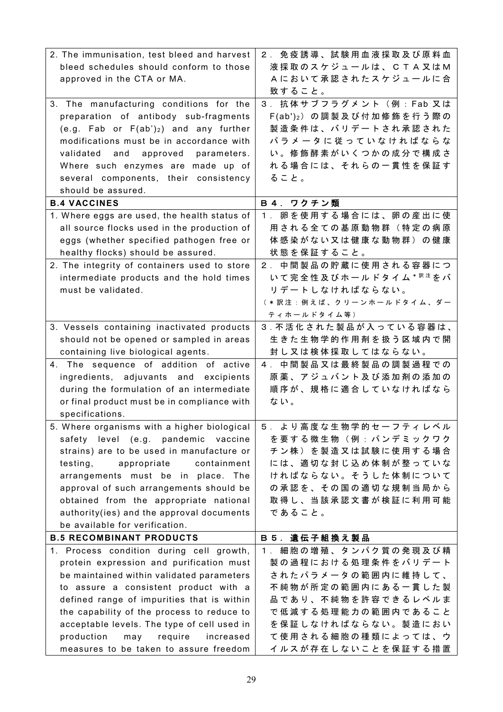| 2. The immunisation, test bleed and harvest                                   | 2. 免疫誘導、試験用血液採取及び原料血                     |
|-------------------------------------------------------------------------------|------------------------------------------|
| bleed schedules should conform to those                                       | 液採取のスケジュールは、CTA又はM                       |
| approved in the CTA or MA.                                                    | Aにおいて承認されたスケジュールに合                       |
|                                                                               | 致すること。                                   |
| 3. The manufacturing conditions for the                                       | 3. 抗体サブフラグメント (例: Fab 又は                 |
| preparation of antibody sub-fragments                                         | F(ab')2) の調製及び付加修飾を行う際の                  |
| (e.g. Fab or $F(ab')_2$ ) and any further                                     | 製造条件は、バリデートされ承認された                       |
| modifications must be in accordance with                                      | パラメータに従っていなければならな                        |
| validated<br>and<br>approved<br>parameters.                                   | い。修飾酵素がいくつかの成分で構成さ                       |
| Where such enzymes are made up of                                             | れる場合には、それらの一貫性を保証す                       |
| several components, their consistency                                         | ること。                                     |
| should be assured.                                                            |                                          |
| <b>B.4 VACCINES</b>                                                           | B4. ワクチン類                                |
| 1. Where eggs are used, the health status of                                  | 1. 卵を使用する場合には、卵の産出に使                     |
| all source flocks used in the production of                                   | 用される全ての基原動物群(特定の病原                       |
| eggs (whether specified pathogen free or                                      | 体感染がない又は健康な動物群)の健康                       |
| healthy flocks) should be assured.                                            | 状態を保証すること。                               |
| 2. The integrity of containers used to store                                  | 中間製品の貯蔵に使用される容器につ<br>2 <sup>1</sup>      |
| intermediate products and the hold times                                      | いて完全性及びホールドタイム * $R$ きをバ                 |
| must be validated.                                                            | リデートしなければならない。                           |
|                                                                               | ( * 訳注:例えば、クリーンホールドタイム、ダー                |
|                                                                               | ティホールドタイム等)                              |
| 3. Vessels containing inactivated products                                    | 3. 不活化された製品が入っている容器は、                    |
| should not be opened or sampled in areas                                      | 生きた生物学的作用剤を扱う区域内で開                       |
| containing live biological agents.                                            | 封し又は検体採取してはならない。                         |
| 4. The sequence of addition of active                                         | 4. 中間製品又は最終製品の調製過程での                     |
| ingredients, adjuvants and excipients                                         | 原 薬 、 ア ジ ュ バ ン ト 及 び 添 加 剤 の 添 加 の      |
| during the formulation of an intermediate                                     | 順序が、規格に適合していなければなら                       |
| or final product must be in compliance with                                   | ない。                                      |
| specifications.                                                               | 5. より高度な生物学的セーフティレベル                     |
| 5. Where organisms with a higher biological                                   |                                          |
| safety level (e.g. pandemic vaccine                                           | を要する微生物(例:パンデミックワク                       |
| strains) are to be used in manufacture or                                     | チン株)を製造又は試験に使用する場合                       |
| testing,<br>appropriate<br>containment                                        | には、適切な封じ込め体制が整っていな<br>ければならない。そうした体制について |
| arrangements must be in place. The<br>approval of such arrangements should be | の承認を、その国の適切な規制当局から                       |
| obtained from the appropriate national                                        | 取得し、当該承認文書が検証に利用可能                       |
| authority(ies) and the approval documents                                     | であること。                                   |
| be available for verification.                                                |                                          |
| <b>B.5 RECOMBINANT PRODUCTS</b>                                               | <b>B5. 遺伝子組換え製品</b>                      |
| 1. Process condition during cell growth,                                      | 1. 細胞の増殖、タンパク質の発現及び精                     |
| protein expression and purification must                                      | 製の過程における処理条件をバリデート                       |
| be maintained within validated parameters                                     | されたパラメータの範囲内に維持して、                       |
| to assure a consistent product with a                                         | 不純物が所定の範囲内にある一貫した製                       |
| defined range of impurities that is within                                    | 品であり、不純物を許容できるレベルま                       |
| the capability of the process to reduce to                                    | で低減する処理能力の範囲内であること                       |
| acceptable levels. The type of cell used in                                   | を保証しなければならない。製造におい                       |
| production<br>may require<br>increased                                        | て使用される細胞の種類によっては、ウ                       |
| measures to be taken to assure freedom                                        | イルスが存在しないことを保証する措置                       |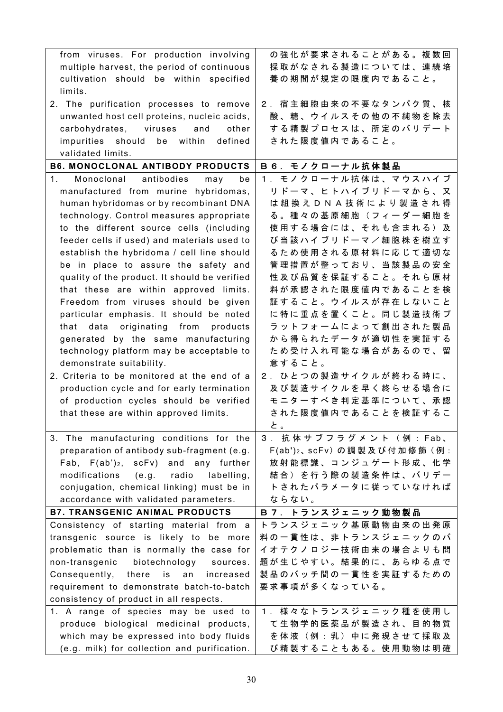| from viruses. For production involving                  | の強化が要求されることがある。複数回                       |
|---------------------------------------------------------|------------------------------------------|
| multiple harvest, the period of continuous              | 採取がなされる製造については、連続培                       |
| cultivation should be within specified                  | 養の期間が規定の限度内であること。                        |
| limits.                                                 |                                          |
| 2. The purification processes to remove                 | 2. 宿主細胞由来の不要なタンパク質、核                     |
| unwanted host cell proteins, nucleic acids,             | 酸、糖、ウイルスその他の不純物を除去                       |
| carbohydrates, viruses<br>and<br>other                  | する精製プロセスは、所定のバリデート                       |
| impurities should be within<br>defined                  | された限度値内であること。                            |
| validated limits.                                       |                                          |
| <b>B6. MONOCLONAL ANTIBODY PRODUCTS</b>                 | B 6. モノクローナル抗体製品                         |
| 1 <sub>1</sub><br>Monoclonal<br>antibodies<br>may<br>be | 1. モノクローナル抗体は、マウスハイブ                     |
| manufactured from murine hybridomas,                    | リドーマ、ヒトハイブリドーマから、又                       |
| human hybridomas or by recombinant DNA                  | は 組 換 え D N A 技 術 に よ り 製 造 さ れ 得        |
| technology. Control measures appropriate                | る。種々の基原細胞(フィーダー細胞を                       |
| to the different source cells (including                | 使用する場合には、それも含まれる)及                       |
| feeder cells if used) and materials used to             | び当該ハイブリドーマ/細胞株を樹立す                       |
| establish the hybridoma / cell line should              | るため使用される原材料に応じて適切な                       |
| be in place to assure the safety and                    | 管理措置が整っており、当該製品の安全                       |
| quality of the product. It should be verified           | 性及び品質を保証すること。それら原材                       |
| that these are within approved limits.                  | 料が承認された限度値内であることを検                       |
| Freedom from viruses should be given                    | 証すること。ウイルスが存在しないこと                       |
| particular emphasis. It should be noted                 | に特に重点を置くこと。同じ製造技術プ                       |
| that data originating from products                     | ラットフォームによって創出された製品                       |
| generated by the same manufacturing                     | から得られたデータが適切性を実証する                       |
| technology platform may be acceptable to                | ため受け入れ可能な場合があるので、留                       |
| demonstrate suitability.                                | 意すること。                                   |
| 2. Criteria to be monitored at the end of a             | 2. ひとつの製造サイクルが終わる時に、                     |
| production cycle and for early termination              | 及び製造サイクルを早く終らせる場合に                       |
| of production cycles should be verified                 | モニターすべき判定基準について、承認                       |
| that these are within approved limits.                  | された限度値内であることを検証するこ                       |
|                                                         | と。                                       |
| 3. The manufacturing conditions for the                 | 3. 抗体サブフラグメント(例:Fab、                     |
| preparation of antibody sub-fragment (e.g.              | F(ab') <sub>2</sub> 、scFv) の調製及び付加修飾 (例: |
| Fab, $F(ab')_2$ , $scFv$ ) and any further              | 放射能標識、コンジュゲート形成、化学                       |
| radio<br>modifications (e.g.<br>labelling,              | 結合)を行う際の製造条件は、バリデー                       |
| conjugation, chemical linking) must be in               | トされたパラメータに従っていなければ                       |
| accordance with validated parameters.                   | ならない。                                    |
| <b>B7. TRANSGENIC ANIMAL PRODUCTS</b>                   | B 7. トランスジェニック動物製品                       |
| Consistency of starting material from a                 | トランスジェニック基原動物由来の出発原                      |
| transgenic source is likely to be more                  | 料の一貫性は、非トランスジェニックのバ                      |
| problematic than is normally the case for               | イオテクノロジー技術由来の場合よりも問                      |
| non-transgenic<br>biotechnology<br>sources.             | 題が生じやすい。結果的に、あらゆる点で                      |
| Consequently, there<br>is<br>increased<br>an            | 製品のバッチ間の一貫性を実証するための                      |
| requirement to demonstrate batch-to-batch               | 要求事項が多くなっている。                            |
| consistency of product in all respects.                 |                                          |
| 1. A range of species may be used to                    | 1. 様々なトランスジェニック種を使用し                     |
| produce biological medicinal products,                  | て生物学的医薬品が製造され、目的物質                       |
| which may be expressed into body fluids                 | を体液 (例:乳) 中に発現させて採取及                     |
| (e.g. milk) for collection and purification.            | び精製することもある。使用動物は明確                       |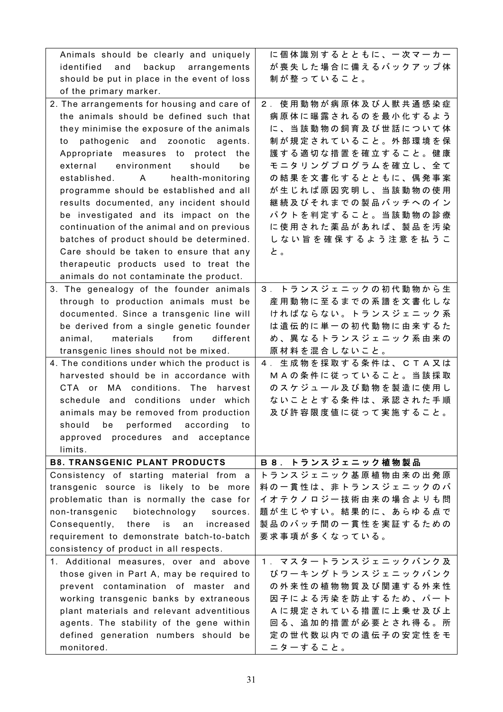| Animals should be clearly and uniquely       | に個体識別するとともに、一次マーカー   |
|----------------------------------------------|----------------------|
| identified<br>backup<br>and<br>arrangements  | が喪失した場合に備えるバックアップ体   |
| should be put in place in the event of loss  | 制が整っていること。           |
| of the primary marker.                       |                      |
| 2. The arrangements for housing and care of  | 2. 使用動物が病原体及び人獣共通感染症 |
| the animals should be defined such that      | 病原体に曝露されるのを最小化するよう   |
| they minimise the exposure of the animals    | に、当該動物の飼育及び世話について体   |
| pathogenic and zoonotic agents.<br>to        | 制が規定されていること。外部環境を保   |
| Appropriate measures to protect<br>the       | 護する適切な措置を確立すること。健康   |
| external environment<br>should<br>be         | モニタリングプログラムを確立し、全て   |
| established. A<br>health-monitoring          | の結果を文書化するとともに、偶発事案   |
| programme should be established and all      | が生じれば原因究明し、当該動物の使用   |
| results documented, any incident should      | 継続及びそれまでの製品バッチへのイン   |
| be investigated and its impact on the        | パクトを判定すること。当該動物の診療   |
| continuation of the animal and on previous   | に使用された薬品があれば、製品を汚染   |
| batches of product should be determined.     | しない旨を確保するよう注意を払うこ    |
| Care should be taken to ensure that any      | と。                   |
| therapeutic products used to treat the       |                      |
| animals do not contaminate the product.      |                      |
| 3. The genealogy of the founder animals      | 3. トランスジェニックの初代動物から生 |
| through to production animals must be        | 産用動物に至るまでの系譜を文書化しな   |
| documented. Since a transgenic line will     | ければならない。トランスジェニック系   |
| be derived from a single genetic founder     | は遺伝的に単一の初代動物に由来するた   |
| materials from<br>different<br>animal,       | め、異なるトランスジェニック系由来の   |
| transgenic lines should not be mixed.        | 原材料を混合しないこと。         |
| 4. The conditions under which the product is | 4. 生成物を採取する条件は、CTA又は |
| harvested should be in accordance with       | MAの条件に従っていること。当該採取   |
| CTA or MA conditions. The harvest            | のスケジュール及び動物を製造に使用し   |
| schedule and conditions under which          | ないこととする条件は、承認された手順   |
|                                              | 及び許容限度値に従って実施すること。   |
| animals may be removed from production       |                      |
| should be performed according<br>to to       |                      |
| approved procedures and<br>acceptance        |                      |
| limits.                                      |                      |
| <b>B8. TRANSGENIC PLANT PRODUCTS</b>         | B 8. トランスジェニック植物製品   |
| Consistency of starting material from a      | トランスジェニック基原植物由来の出発原  |
| transgenic source is likely to be more       | 料の一貫性は、非トランスジェニックのバ  |
| problematic than is normally the case for    | イオテクノロジー技術由来の場合よりも問  |
| non-transgenic<br>biotechnology<br>sources.  | 題が生じやすい。結果的に、あらゆる点で  |
| Consequently, there is<br>an<br>increased    | 製品のバッチ間の一貫性を実証するための  |
| requirement to demonstrate batch-to-batch    | 要求事項が多くなっている。        |
| consistency of product in all respects.      |                      |
|                                              |                      |
| 1. Additional measures, over and above       | 1. マスタートランスジェニックバンク及 |
| those given in Part A, may be required to    | びワーキングトランスジェニックバンク   |
| prevent contamination of master and          | の外来性の植物物質及び関連する外来性   |
| working transgenic banks by extraneous       | 因子による汚染を防止するため、パート   |
| plant materials and relevant adventitious    | Aに規定されている措置に上乗せ及び上   |
| agents. The stability of the gene within     | 回る、追加的措置が必要とされ得る。所   |
| defined generation numbers should be         | 定の世代数以内での遺伝子の安定性をモ   |